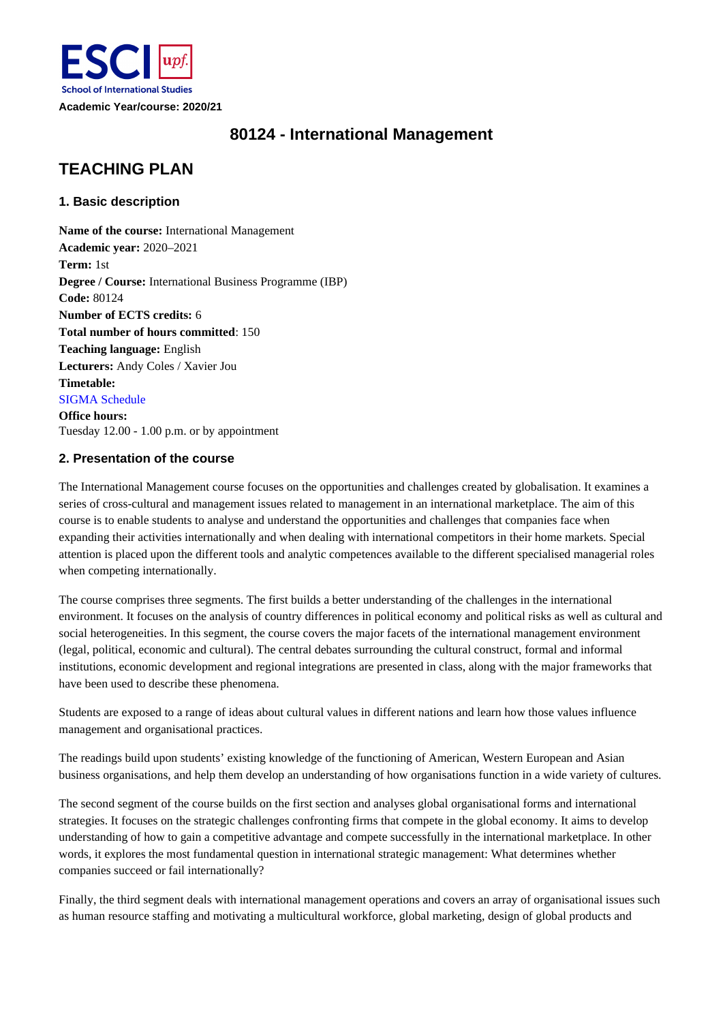

# **80124 - International Management**

# **TEACHING PLAN**

# **1. Basic description**

**Name of the course:** International Management **Academic year:** 2020–2021 **Term:** 1st **Degree / Course:** International Business Programme (IBP) **Code:** 80124 **Number of ECTS credits:** 6 **Total number of hours committed**: 150 **Teaching language:** English **Lecturers:** Andy Coles / Xavier Jou **Timetable:** SIGMA Schedule **Office hours:**  Tuesday 12.00 - 1.00 p.m. or by appointment

# **2. Presentation of the course**

The International Management course focuses on the opportunities and challenges created by globalisation. It examines a series of cross-cultural and management issues related to management in an international marketplace. The aim of this course is to enable students to analyse and understand the opportunities and challenges that companies face when expanding their activities internationally and when dealing with international competitors in their home markets. Special attention is placed upon the different tools and analytic competences available to the different specialised managerial roles when competing internationally.

The course comprises three segments. The first builds a better understanding of the challenges in the international environment. It focuses on the analysis of country differences in political economy and political risks as well as cultural and social heterogeneities. In this segment, the course covers the major facets of the international management environment (legal, political, economic and cultural). The central debates surrounding the cultural construct, formal and informal institutions, economic development and regional integrations are presented in class, along with the major frameworks that have been used to describe these phenomena.

Students are exposed to a range of ideas about cultural values in different nations and learn how those values influence management and organisational practices.

The readings build upon students' existing knowledge of the functioning of American, Western European and Asian business organisations, and help them develop an understanding of how organisations function in a wide variety of cultures.

The second segment of the course builds on the first section and analyses global organisational forms and international strategies. It focuses on the strategic challenges confronting firms that compete in the global economy. It aims to develop understanding of how to gain a competitive advantage and compete successfully in the international marketplace. In other words, it explores the most fundamental question in international strategic management: What determines whether companies succeed or fail internationally?

Finally, the third segment deals with international management operations and covers an array of organisational issues such as human resource staffing and motivating a multicultural workforce, global marketing, design of global products and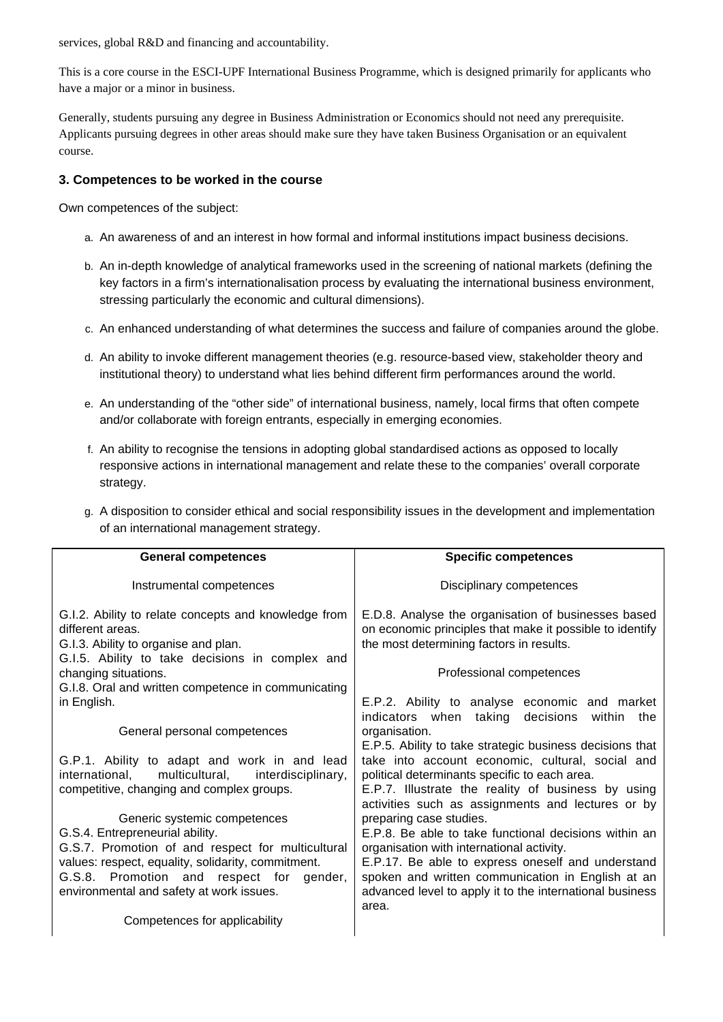services, global R&D and financing and accountability.

This is a core course in the ESCI-UPF International Business Programme, which is designed primarily for applicants who have a major or a minor in business.

Generally, students pursuing any degree in Business Administration or Economics should not need any prerequisite. Applicants pursuing degrees in other areas should make sure they have taken Business Organisation or an equivalent course.

# **3. Competences to be worked in the course**

Own competences of the subject:

- a. An awareness of and an interest in how formal and informal institutions impact business decisions.
- b. An in-depth knowledge of analytical frameworks used in the screening of national markets (defining the key factors in a firm's internationalisation process by evaluating the international business environment, stressing particularly the economic and cultural dimensions).
- c. An enhanced understanding of what determines the success and failure of companies around the globe.
- d. An ability to invoke different management theories (e.g. resource-based view, stakeholder theory and institutional theory) to understand what lies behind different firm performances around the world.
- e. An understanding of the "other side" of international business, namely, local firms that often compete and/or collaborate with foreign entrants, especially in emerging economies.
- f. An ability to recognise the tensions in adopting global standardised actions as opposed to locally responsive actions in international management and relate these to the companies' overall corporate strategy.
- g. A disposition to consider ethical and social responsibility issues in the development and implementation of an international management strategy.

| <b>General competences</b>                                                                                                                                                                                             | <b>Specific competences</b>                                                                                                                                                                                                                                              |
|------------------------------------------------------------------------------------------------------------------------------------------------------------------------------------------------------------------------|--------------------------------------------------------------------------------------------------------------------------------------------------------------------------------------------------------------------------------------------------------------------------|
| Instrumental competences                                                                                                                                                                                               | Disciplinary competences                                                                                                                                                                                                                                                 |
| G.I.2. Ability to relate concepts and knowledge from<br>different areas.<br>G.I.3. Ability to organise and plan.<br>G.I.5. Ability to take decisions in complex and                                                    | E.D.8. Analyse the organisation of businesses based<br>on economic principles that make it possible to identify<br>the most determining factors in results.                                                                                                              |
| changing situations.<br>G.I.8. Oral and written competence in communicating                                                                                                                                            | Professional competences                                                                                                                                                                                                                                                 |
| in English.                                                                                                                                                                                                            | E.P.2. Ability to analyse economic and market<br>indicators when taking<br>decisions<br>within<br>the                                                                                                                                                                    |
| General personal competences                                                                                                                                                                                           | organisation.                                                                                                                                                                                                                                                            |
| G.P.1. Ability to adapt and work in and lead<br>multicultural,<br>international,<br>interdisciplinary,<br>competitive, changing and complex groups.                                                                    | E.P.5. Ability to take strategic business decisions that<br>take into account economic, cultural, social and<br>political determinants specific to each area.<br>E.P.7. Illustrate the reality of business by using<br>activities such as assignments and lectures or by |
| Generic systemic competences<br>G.S.4. Entrepreneurial ability.<br>G.S.7. Promotion of and respect for multicultural<br>values: respect, equality, solidarity, commitment.<br>G.S.8. Promotion and respect for gender, | preparing case studies.<br>E.P.8. Be able to take functional decisions within an<br>organisation with international activity.<br>E.P.17. Be able to express oneself and understand<br>spoken and written communication in English at an                                  |
| environmental and safety at work issues.                                                                                                                                                                               | advanced level to apply it to the international business<br>area.                                                                                                                                                                                                        |
| Competences for applicability                                                                                                                                                                                          |                                                                                                                                                                                                                                                                          |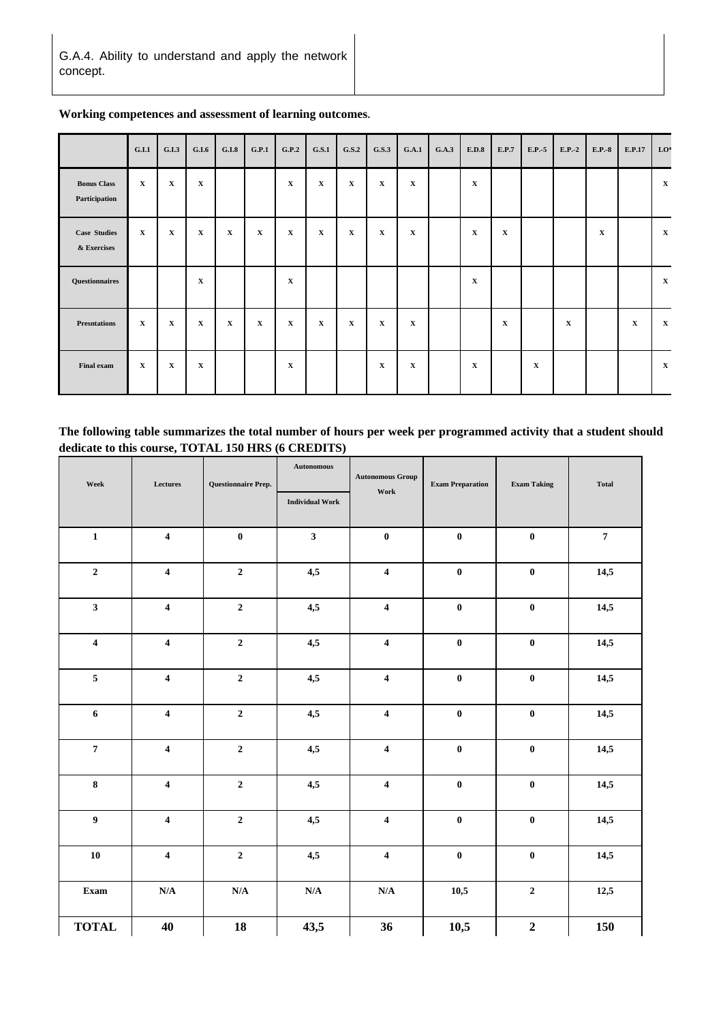|                                     | G.I.1       | G.I.3       | G.I.6       | G.I.8        | G.P.1        | G.P.2        | G.S.1        | G.S.2        | G.S.3       | G.A.1       | G.A.3 | E.D.8       | E.P.7        | E.P.-5      | $E.P.-2$    | $E.P.-8$    | E.P.17      | LO <sup>*</sup> |
|-------------------------------------|-------------|-------------|-------------|--------------|--------------|--------------|--------------|--------------|-------------|-------------|-------|-------------|--------------|-------------|-------------|-------------|-------------|-----------------|
| <b>Bonus Class</b><br>Participation | $\mathbf X$ | X           | $\mathbf X$ |              |              | $\mathbf X$  | $\mathbf X$  | $\mathbf X$  | $\mathbf X$ | $\mathbf X$ |       | $\mathbf X$ |              |             |             |             |             | $\mathbf{X}$    |
| <b>Case Studies</b><br>& Exercises  | $\mathbf x$ | $\mathbf X$ | $\mathbf x$ | $\mathbf{x}$ | $\mathbf{x}$ | $\mathbf{x}$ | $\mathbf{X}$ | $\mathbf{x}$ | $\mathbf X$ | $\mathbf x$ |       | $\mathbf X$ | $\mathbf{X}$ |             |             | $\mathbf x$ |             | $\mathbf{X}$    |
| Questionnaires                      |             |             | $\mathbf X$ |              |              | $\mathbf X$  |              |              |             |             |       | $\mathbf X$ |              |             |             |             |             | $\mathbf{X}$    |
| <b>Presntations</b>                 | $\mathbf X$ | $\mathbf X$ | $\mathbf x$ | $\mathbf X$  | $\mathbf{x}$ | $\mathbf x$  | $\mathbf X$  | $\mathbf x$  | $\mathbf X$ | $\mathbf X$ |       |             | $\mathbf X$  |             | $\mathbf X$ |             | $\mathbf X$ | $\mathbf X$     |
| <b>Final exam</b>                   | $\mathbf X$ | X           | $\mathbf X$ |              |              | $\mathbf X$  |              |              | X           | X           |       | $\mathbf X$ |              | $\mathbf X$ |             |             |             | $\mathbf{X}$    |

**Working competences and assessment of learning outcomes.**

**The following table summarizes the total number of hours per week per programmed activity that a student should dedicate to this course, TOTAL 150 HRS (6 CREDITS)**

| ${\bf \small{Week}}$    | Lectures                |                         | <b>Autonomous</b>       | <b>Autonomous Group</b> | <b>Exam Preparation</b> | <b>Exam Taking</b> | <b>Total</b>   |
|-------------------------|-------------------------|-------------------------|-------------------------|-------------------------|-------------------------|--------------------|----------------|
|                         |                         |                         | <b>Individual Work</b>  | Work                    |                         |                    |                |
| $\mathbf 1$             | $\overline{\mathbf{4}}$ | $\pmb{0}$               | $\overline{\mathbf{3}}$ | $\bf{0}$                | $\bf{0}$                | $\bf{0}$           | $\overline{7}$ |
| $\mathbf 2$             | $\overline{\mathbf{4}}$ | $\mathbf 2$             | 4,5                     | $\overline{\mathbf{4}}$ | $\boldsymbol{0}$        | $\pmb{0}$          | 14,5           |
| $\mathbf{3}$            | $\overline{\mathbf{4}}$ | $\mathbf 2$             | 4,5                     | $\overline{\mathbf{4}}$ | $\boldsymbol{0}$        | $\pmb{0}$          | 14,5           |
| $\overline{\mathbf{4}}$ | $\overline{\mathbf{4}}$ | $\mathbf 2$             | 4,5                     | $\overline{\mathbf{4}}$ | $\pmb{0}$               | $\pmb{0}$          | 14,5           |
| $\overline{\mathbf{5}}$ | $\overline{\mathbf{4}}$ | $\mathbf 2$             | 4,5                     | $\overline{\mathbf{4}}$ | $\boldsymbol{0}$        | $\pmb{0}$          | 14,5           |
| $\boldsymbol{6}$        | $\overline{\mathbf{4}}$ | $\mathbf 2$             | 4,5                     | $\overline{\mathbf{4}}$ | $\boldsymbol{0}$        | $\pmb{0}$          | 14,5           |
| $\pmb{7}$               | $\overline{\mathbf{4}}$ | $\mathbf 2$             | 4,5                     | $\overline{\mathbf{4}}$ | $\boldsymbol{0}$        | $\pmb{0}$          | 14,5           |
| $\bf 8$                 | $\boldsymbol{4}$        | $\mathbf 2$             | 4,5                     | $\overline{\mathbf{4}}$ | $\pmb{0}$               | $\pmb{0}$          | 14,5           |
| $\boldsymbol{9}$        | $\overline{\mathbf{4}}$ | $\mathbf 2$             | 4,5                     | $\overline{\mathbf{4}}$ | $\pmb{0}$               | $\pmb{0}$          | 14,5           |
| ${\bf 10}$              | $\overline{\mathbf{4}}$ | $\mathbf 2$             | 4,5                     | $\overline{\mathbf{4}}$ | $\pmb{0}$               | $\pmb{0}$          | 14,5           |
| Exam                    | $\mathbf{N}/\mathbf{A}$ | $\mathbf{N}/\mathbf{A}$ | $\mathbf{N}/\mathbf{A}$ | $\mathbf{N}/\mathbf{A}$ | 10,5                    | $\mathbf 2$        | 12,5           |
| <b>TOTAL</b>            | 40                      | 18                      | 43,5                    | 36                      | 10,5                    | $\boldsymbol{2}$   | 150            |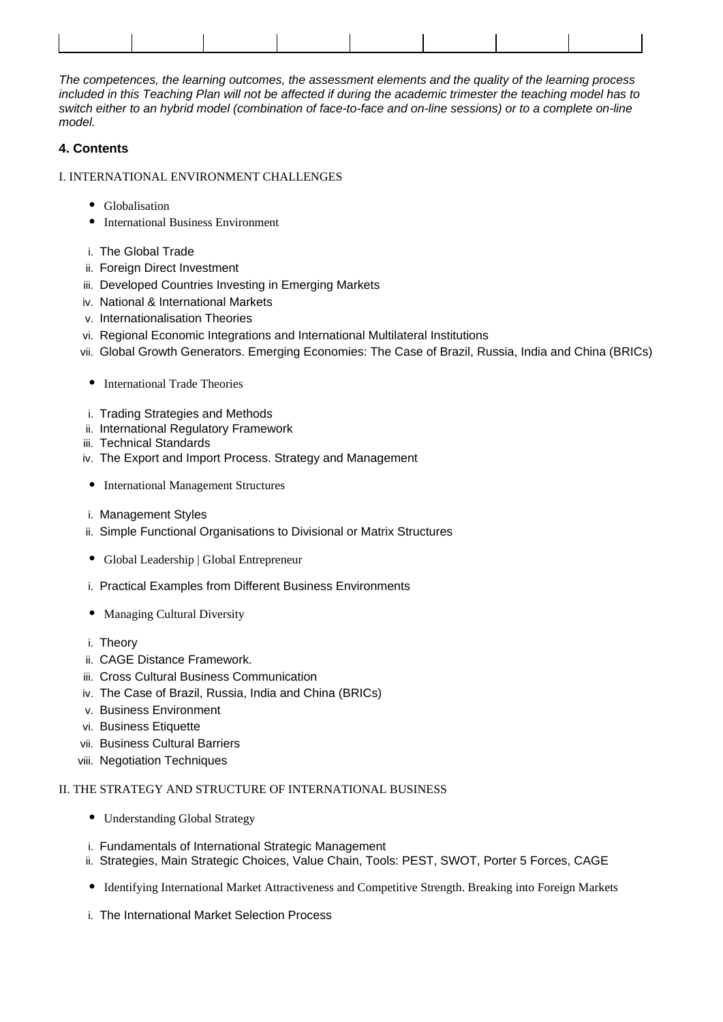The competences, the learning outcomes, the assessment elements and the quality of the learning process included in this Teaching Plan will not be affected if during the academic trimester the teaching model has to switch either to an hybrid model (combination of face-to-face and on-line sessions) or to a complete on-line model.

# **4. Contents**

#### I. INTERNATIONAL ENVIRONMENT CHALLENGES

- Globalisation
- **•** International Business Environment
- i. The Global Trade
- ii. Foreign Direct Investment
- iii. Developed Countries Investing in Emerging Markets
- iv. National & International Markets
- v. Internationalisation Theories
- vi. Regional Economic Integrations and International Multilateral Institutions
- vii. Global Growth Generators. Emerging Economies: The Case of Brazil, Russia, India and China (BRICs)
- International Trade Theories
- i. Trading Strategies and Methods
- ii. International Regulatory Framework
- iii. Technical Standards
- iv. The Export and Import Process. Strategy and Management
- International Management Structures
- i. Management Styles
- ii. Simple Functional Organisations to Divisional or Matrix Structures
- Global Leadership | Global Entrepreneur
- i. Practical Examples from Different Business Environments
- Managing Cultural Diversity
- i. Theory
- ii. CAGE Distance Framework.
- iii. Cross Cultural Business Communication
- iv. The Case of Brazil, Russia, India and China (BRICs)
- v. Business Environment
- vi. Business Etiquette
- vii. Business Cultural Barriers
- viii. Negotiation Techniques

## II. THE STRATEGY AND STRUCTURE OF INTERNATIONAL BUSINESS

- Understanding Global Strategy
- i. Fundamentals of International Strategic Management
- ii. Strategies, Main Strategic Choices, Value Chain, Tools: PEST, SWOT, Porter 5 Forces, CAGE
- Identifying International Market Attractiveness and Competitive Strength. Breaking into Foreign Markets
- i. The International Market Selection Process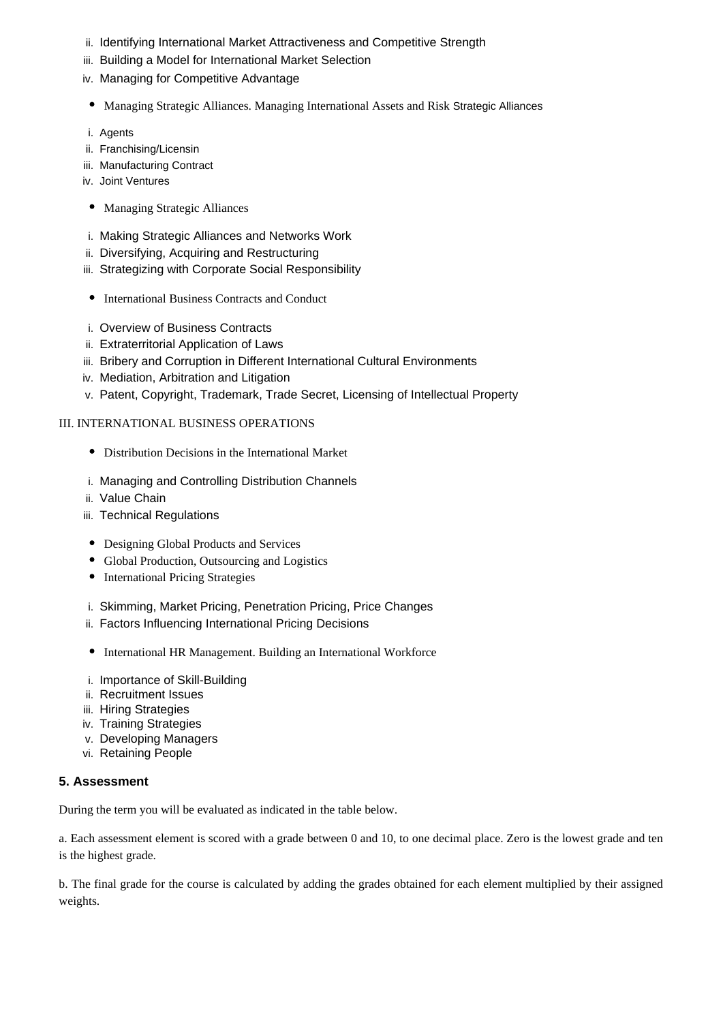- ii. Identifying International Market Attractiveness and Competitive Strength
- iii. Building a Model for International Market Selection
- iv. Managing for Competitive Advantage
- Managing Strategic Alliances. Managing International Assets and Risk Strategic Alliances
- i. Agents
- ii. Franchising/Licensin
- iii. Manufacturing Contract
- iv. Joint Ventures
- Managing Strategic Alliances
- i. Making Strategic Alliances and Networks Work
- ii. Diversifying, Acquiring and Restructuring
- iii. Strategizing with Corporate Social Responsibility
- International Business Contracts and Conduct
- i. Overview of Business Contracts
- ii. Extraterritorial Application of Laws
- iii. Bribery and Corruption in Different International Cultural Environments
- iv. Mediation, Arbitration and Litigation
- v. Patent, Copyright, Trademark, Trade Secret, Licensing of Intellectual Property

# III. INTERNATIONAL BUSINESS OPERATIONS

- Distribution Decisions in the International Market
- i. Managing and Controlling Distribution Channels
- ii. Value Chain
- iii. Technical Regulations
- Designing Global Products and Services
- Global Production, Outsourcing and Logistics
- International Pricing Strategies
- i. Skimming, Market Pricing, Penetration Pricing, Price Changes
- ii. Factors Influencing International Pricing Decisions
- International HR Management. Building an International Workforce
- i. Importance of Skill-Building
- ii. Recruitment Issues
- iii. Hiring Strategies
- iv. Training Strategies
- v. Developing Managers
- vi. Retaining People

## **5. Assessment**

During the term you will be evaluated as indicated in the table below.

a. Each assessment element is scored with a grade between 0 and 10, to one decimal place. Zero is the lowest grade and ten is the highest grade.

b. The final grade for the course is calculated by adding the grades obtained for each element multiplied by their assigned weights.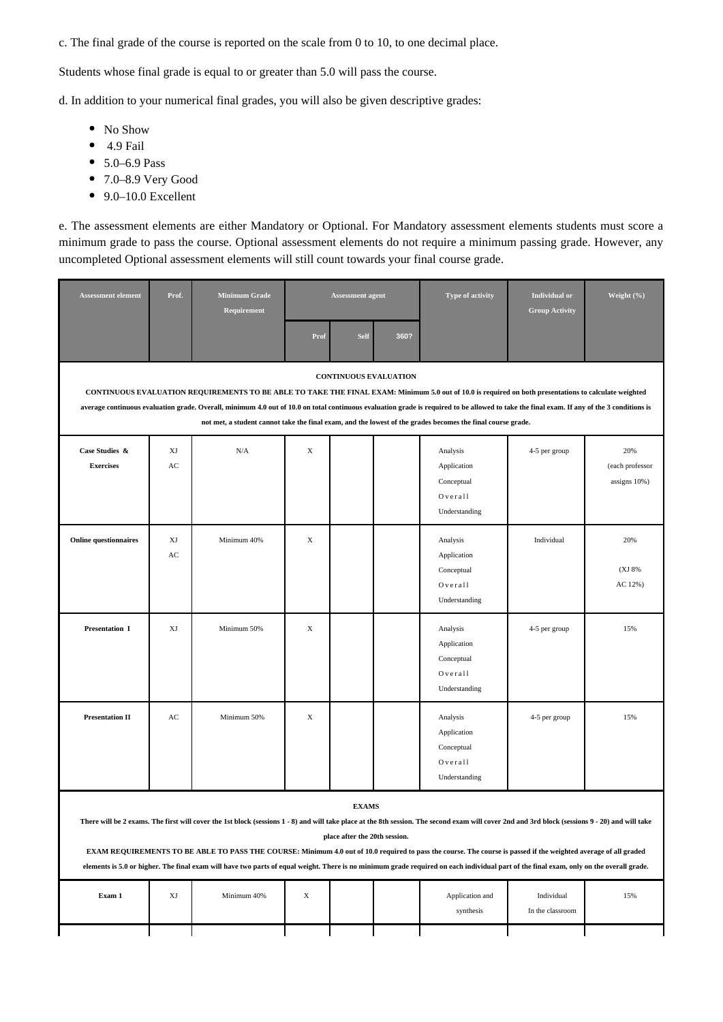c. The final grade of the course is reported on the scale from 0 to 10, to one decimal place.

Students whose final grade is equal to or greater than 5.0 will pass the course.

d. In addition to your numerical final grades, you will also be given descriptive grades:

- No Show
- $\bullet$  4.9 Fail
- 5.0–6.9 Pass
- 7.0–8.9 Very Good
- $\bullet$  9.0–10.0 Excellent

e. The assessment elements are either Mandatory or Optional. For Mandatory assessment elements students must score a minimum grade to pass the course. Optional assessment elements do not require a minimum passing grade. However, any uncompleted Optional assessment elements will still count towards your final course grade.

| <b>Assessment element</b>          | Prof.                                                                                                                                                                                                                                                                                                                                                                                                                                                                                                                                                                                                           | <b>Minimum Grade</b><br>Requirement |             | <b>Assessment agent</b> |      | Type of activity                                                  | <b>Individual</b> or<br><b>Group Activity</b> | Weight (%)                             |
|------------------------------------|-----------------------------------------------------------------------------------------------------------------------------------------------------------------------------------------------------------------------------------------------------------------------------------------------------------------------------------------------------------------------------------------------------------------------------------------------------------------------------------------------------------------------------------------------------------------------------------------------------------------|-------------------------------------|-------------|-------------------------|------|-------------------------------------------------------------------|-----------------------------------------------|----------------------------------------|
|                                    |                                                                                                                                                                                                                                                                                                                                                                                                                                                                                                                                                                                                                 |                                     | Prof        | <b>Self</b>             | 360? |                                                                   |                                               |                                        |
|                                    | <b>CONTINUOUS EVALUATION</b><br>CONTINUOUS EVALUATION REQUIREMENTS TO BE ABLE TO TAKE THE FINAL EXAM: Minimum 5.0 out of 10.0 is required on both presentations to calculate weighted<br>average continuous evaluation grade. Overall, minimum 4.0 out of 10.0 on total continuous evaluation grade is required to be allowed to take the final exam. If any of the 3 conditions is<br>not met, a student cannot take the final exam, and the lowest of the grades becomes the final course grade.                                                                                                              |                                     |             |                         |      |                                                                   |                                               |                                        |
| Case Studies &<br><b>Exercises</b> | XJ<br>AC                                                                                                                                                                                                                                                                                                                                                                                                                                                                                                                                                                                                        | N/A                                 | $\mathbf X$ |                         |      | Analysis<br>Application<br>Conceptual<br>Overall<br>Understanding | 4-5 per group                                 | 20%<br>(each professor<br>assigns 10%) |
| <b>Online questionnaires</b>       | XJ<br>AC                                                                                                                                                                                                                                                                                                                                                                                                                                                                                                                                                                                                        | Minimum 40%                         | X           |                         |      | Analysis<br>Application<br>Conceptual<br>Overall<br>Understanding | Individual                                    | 20%<br>(XJ 8%)<br>AC 12%)              |
| Presentation I                     | XJ                                                                                                                                                                                                                                                                                                                                                                                                                                                                                                                                                                                                              | Minimum 50%                         | X           |                         |      | Analysis<br>Application<br>Conceptual<br>Overall<br>Understanding | 4-5 per group                                 | 15%                                    |
| <b>Presentation II</b>             | AC                                                                                                                                                                                                                                                                                                                                                                                                                                                                                                                                                                                                              | Minimum 50%                         | X           |                         |      | Analysis<br>Application<br>Conceptual<br>Overall<br>Understanding | 4-5 per group                                 | 15%                                    |
|                                    | <b>EXAMS</b><br>There will be 2 exams. The first will cover the 1st block (sessions 1 - 8) and will take place at the 8th session. The second exam will cover 2nd and 3rd block (sessions 9 - 20) and will take<br>place after the 20th session.<br>EXAM REQUIREMENTS TO BE ABLE TO PASS THE COURSE: Minimum 4.0 out of 10.0 required to pass the course. The course is passed if the weighted average of all graded<br>elements is 5.0 or higher. The final exam will have two parts of equal weight. There is no minimum grade required on each individual part of the final exam, only on the overall grade. |                                     |             |                         |      |                                                                   |                                               |                                        |
| Exam 1                             | XJ                                                                                                                                                                                                                                                                                                                                                                                                                                                                                                                                                                                                              | Minimum 40%                         | $\mathbf X$ |                         |      | Application and<br>synthesis                                      | Individual<br>In the classroom                | 15%                                    |
|                                    |                                                                                                                                                                                                                                                                                                                                                                                                                                                                                                                                                                                                                 |                                     |             |                         |      |                                                                   |                                               |                                        |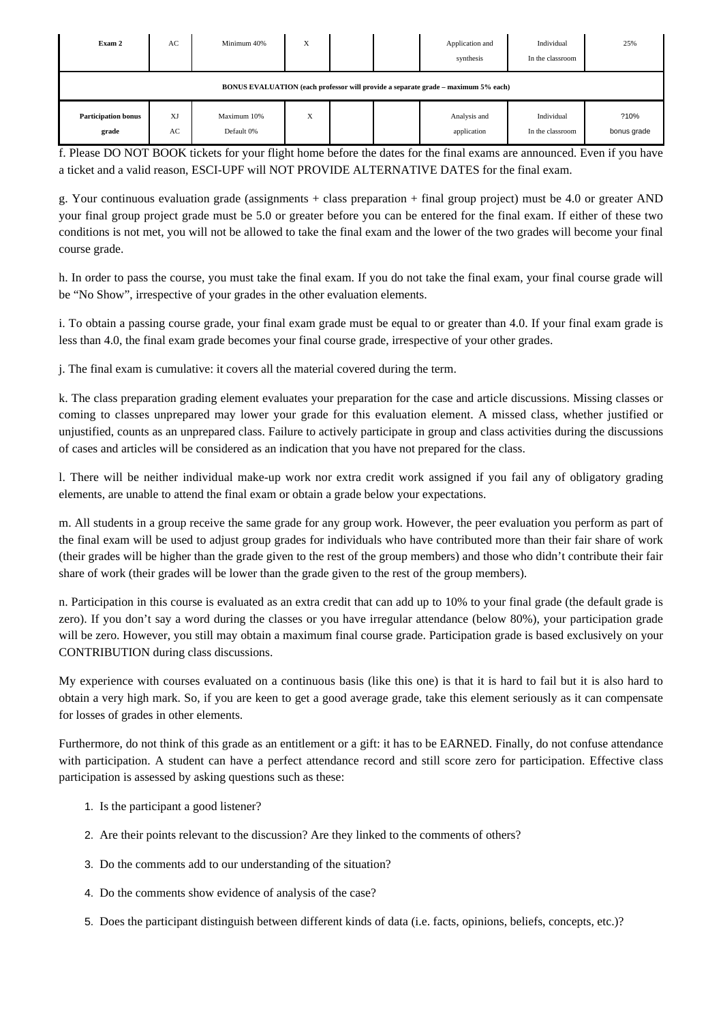| Exam 2                              | AC       | Minimum 40%               | X |  | Application and<br>synthesis                                                      | Individual<br>In the classroom | 25%                 |
|-------------------------------------|----------|---------------------------|---|--|-----------------------------------------------------------------------------------|--------------------------------|---------------------|
|                                     |          |                           |   |  | BONUS EVALUATION (each professor will provide a separate grade – maximum 5% each) |                                |                     |
| <b>Participation bonus</b><br>grade | XJ<br>AC | Maximum 10%<br>Default 0% | X |  | Analysis and<br>application                                                       | Individual<br>In the classroom | ?10%<br>bonus grade |

f. Please DO NOT BOOK tickets for your flight home before the dates for the final exams are announced. Even if you have a ticket and a valid reason, ESCI-UPF will NOT PROVIDE ALTERNATIVE DATES for the final exam.

g. Your continuous evaluation grade (assignments + class preparation + final group project) must be 4.0 or greater AND your final group project grade must be 5.0 or greater before you can be entered for the final exam. If either of these two conditions is not met, you will not be allowed to take the final exam and the lower of the two grades will become your final course grade.

h. In order to pass the course, you must take the final exam. If you do not take the final exam, your final course grade will be "No Show", irrespective of your grades in the other evaluation elements.

i. To obtain a passing course grade, your final exam grade must be equal to or greater than 4.0. If your final exam grade is less than 4.0, the final exam grade becomes your final course grade, irrespective of your other grades.

j. The final exam is cumulative: it covers all the material covered during the term.

k. The class preparation grading element evaluates your preparation for the case and article discussions. Missing classes or coming to classes unprepared may lower your grade for this evaluation element. A missed class, whether justified or unjustified, counts as an unprepared class. Failure to actively participate in group and class activities during the discussions of cases and articles will be considered as an indication that you have not prepared for the class.

l. There will be neither individual make-up work nor extra credit work assigned if you fail any of obligatory grading elements, are unable to attend the final exam or obtain a grade below your expectations.

m. All students in a group receive the same grade for any group work. However, the peer evaluation you perform as part of the final exam will be used to adjust group grades for individuals who have contributed more than their fair share of work (their grades will be higher than the grade given to the rest of the group members) and those who didn't contribute their fair share of work (their grades will be lower than the grade given to the rest of the group members).

n. Participation in this course is evaluated as an extra credit that can add up to 10% to your final grade (the default grade is zero). If you don't say a word during the classes or you have irregular attendance (below 80%), your participation grade will be zero. However, you still may obtain a maximum final course grade. Participation grade is based exclusively on your CONTRIBUTION during class discussions.

My experience with courses evaluated on a continuous basis (like this one) is that it is hard to fail but it is also hard to obtain a very high mark. So, if you are keen to get a good average grade, take this element seriously as it can compensate for losses of grades in other elements.

Furthermore, do not think of this grade as an entitlement or a gift: it has to be EARNED. Finally, do not confuse attendance with participation. A student can have a perfect attendance record and still score zero for participation. Effective class participation is assessed by asking questions such as these:

- 1. Is the participant a good listener?
- 2. Are their points relevant to the discussion? Are they linked to the comments of others?
- 3. Do the comments add to our understanding of the situation?
- 4. Do the comments show evidence of analysis of the case?
- 5. Does the participant distinguish between different kinds of data (i.e. facts, opinions, beliefs, concepts, etc.)?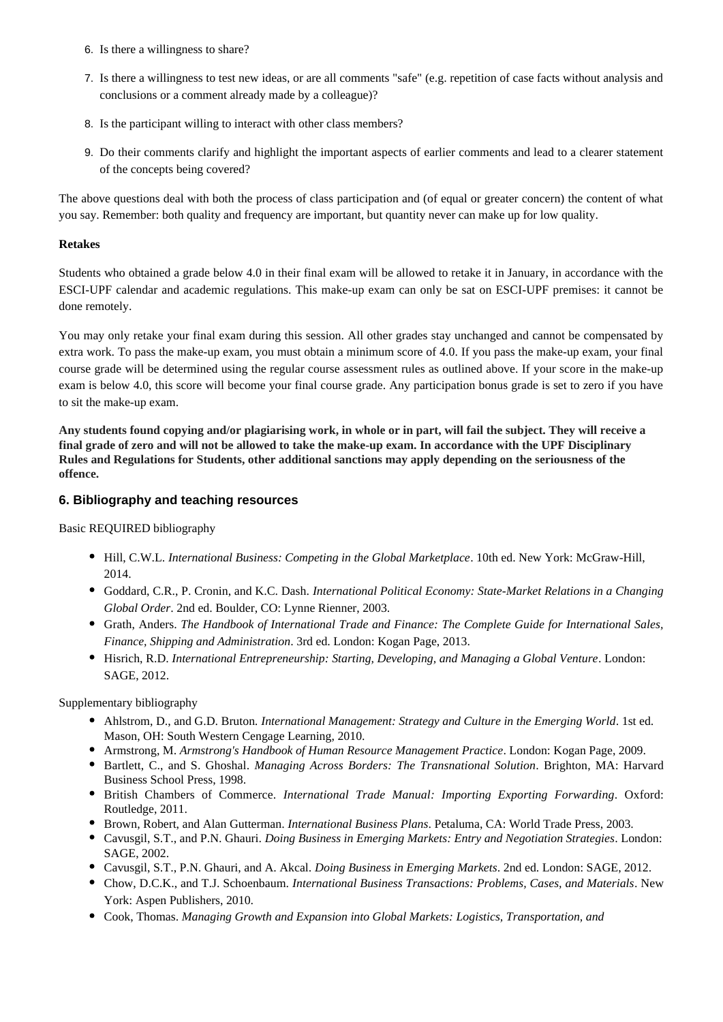- 6. Is there a willingness to share?
- 7. Is there a willingness to test new ideas, or are all comments "safe" (e.g. repetition of case facts without analysis and conclusions or a comment already made by a colleague)?
- 8. Is the participant willing to interact with other class members?
- 9. Do their comments clarify and highlight the important aspects of earlier comments and lead to a clearer statement of the concepts being covered?

The above questions deal with both the process of class participation and (of equal or greater concern) the content of what you say. Remember: both quality and frequency are important, but quantity never can make up for low quality.

#### **Retakes**

Students who obtained a grade below 4.0 in their final exam will be allowed to retake it in January, in accordance with the ESCI-UPF calendar and academic regulations. This make-up exam can only be sat on ESCI-UPF premises: it cannot be done remotely.

You may only retake your final exam during this session. All other grades stay unchanged and cannot be compensated by extra work. To pass the make-up exam, you must obtain a minimum score of 4.0. If you pass the make-up exam, your final course grade will be determined using the regular course assessment rules as outlined above. If your score in the make-up exam is below 4.0, this score will become your final course grade. Any participation bonus grade is set to zero if you have to sit the make-up exam.

**Any students found copying and/or plagiarising work, in whole or in part, will fail the subject. They will receive a final grade of zero and will not be allowed to take the make-up exam. In accordance with the UPF Disciplinary Rules and Regulations for Students, other additional sanctions may apply depending on the seriousness of the offence.**

## **6. Bibliography and teaching resources**

Basic REQUIRED bibliography

- Hill, C.W.L. *International Business: Competing in the Global Marketplace*. 10th ed. New York: McGraw-Hill, 2014.
- Goddard, C.R., P. Cronin, and K.C. Dash. *International Political Economy: State-Market Relations in a Changing Global Order*. 2nd ed. Boulder, CO: Lynne Rienner, 2003.
- Grath, Anders. *The Handbook of International Trade and Finance: The Complete Guide for International Sales, Finance, Shipping and Administration*. 3rd ed. London: Kogan Page, 2013.
- Hisrich, R.D. *International Entrepreneurship: Starting, Developing, and Managing a Global Venture*. London: SAGE, 2012.

Supplementary bibliography

- Ahlstrom, D., and G.D. Bruton*. International Management: Strategy and Culture in the Emerging World*. 1st ed. Mason, OH: South Western Cengage Learning, 2010.
- Armstrong, M. *Armstrong's Handbook of Human Resource Management Practice*. London: Kogan Page, 2009.
- Bartlett, C., and S. Ghoshal. *Managing Across Borders: The Transnational Solution*. Brighton, MA: Harvard Business School Press, 1998.
- British Chambers of Commerce. *International Trade Manual: Importing Exporting Forwarding*. Oxford: Routledge, 2011.
- Brown, Robert, and Alan Gutterman. *International Business Plans*. Petaluma, CA: World Trade Press, 2003.
- Cavusgil, S.T., and P.N. Ghauri. *Doing Business in Emerging Markets: Entry and Negotiation Strategies*. London: SAGE, 2002.
- Cavusgil, S.T., P.N. Ghauri, and A. Akcal. *Doing Business in Emerging Markets*. 2nd ed. London: SAGE, 2012.
- Chow, D.C.K., and T.J. Schoenbaum. *International Business Transactions: Problems, Cases, and Materials*. New York: Aspen Publishers, 2010.
- Cook, Thomas. *Managing Growth and Expansion into Global Markets: Logistics, Transportation, and*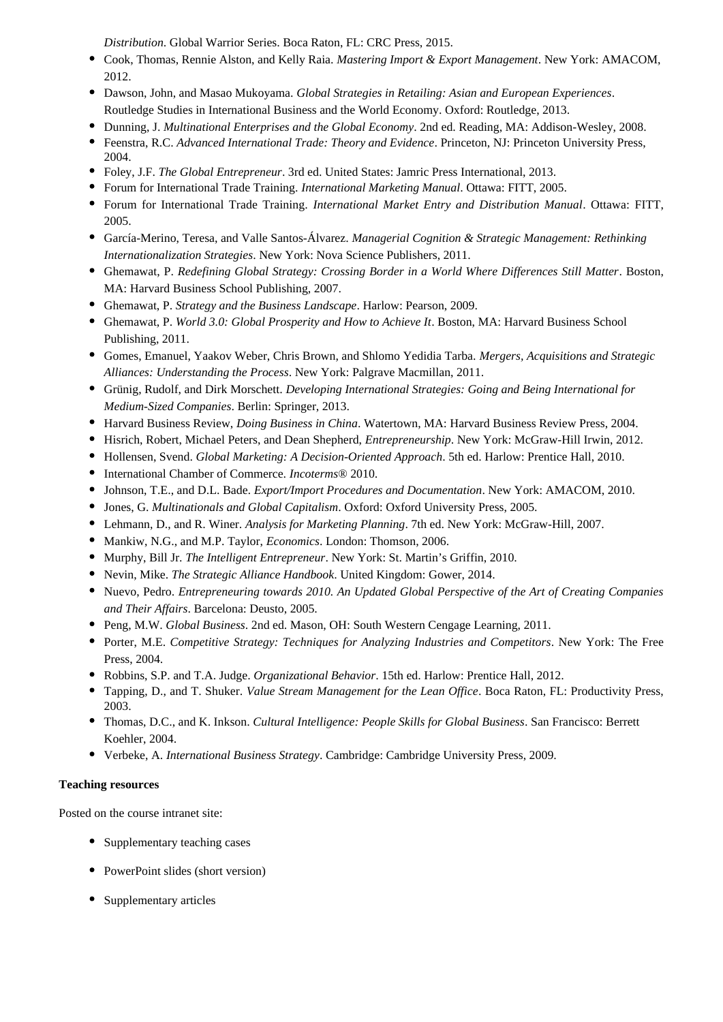*Distribution*. Global Warrior Series. Boca Raton, FL: CRC Press, 2015.

- Cook, Thomas, Rennie Alston, and Kelly Raia. *Mastering Import & Export Management*. New York: AMACOM, 2012.
- Dawson, John, and Masao Mukoyama. *Global Strategies in Retailing: Asian and European Experiences*. Routledge Studies in International Business and the World Economy. Oxford: Routledge, 2013.
- Dunning, J. *Multinational Enterprises and the Global Economy*. 2nd ed. Reading, MA: Addison-Wesley, 2008.
- Feenstra, R.C. *Advanced International Trade: Theory and Evidence*. Princeton, NJ: Princeton University Press, 2004.
- Foley, J.F. *The Global Entrepreneur*. 3rd ed. United States: Jamric Press International, 2013.
- Forum for International Trade Training. *International Marketing Manual*. Ottawa: FITT, 2005.
- Forum for International Trade Training. *International Market Entry and Distribution Manual*. Ottawa: FITT, 2005.
- García-Merino, Teresa, and Valle Santos-Álvarez. *Managerial Cognition & Strategic Management: Rethinking Internationalization Strategies*. New York: Nova Science Publishers, 2011.
- Ghemawat, P. *Redefining Global Strategy: Crossing Border in a World Where Differences Still Matter*. Boston, MA: Harvard Business School Publishing, 2007.
- Ghemawat, P. *Strategy and the Business Landscape*. Harlow: Pearson, 2009.
- Ghemawat, P. *World 3.0: Global Prosperity and How to Achieve It*. Boston, MA: Harvard Business School Publishing, 2011.
- Gomes, Emanuel, Yaakov Weber, Chris Brown, and Shlomo Yedidia Tarba. *Mergers, Acquisitions and Strategic Alliances: Understanding the Process*. New York: Palgrave Macmillan, 2011.
- Grünig, Rudolf, and Dirk Morschett. *Developing International Strategies: Going and Being International for Medium-Sized Companies*. Berlin: Springer, 2013.
- Harvard Business Review, *Doing Business in China*. Watertown, MA: Harvard Business Review Press, 2004.
- Hisrich, Robert, Michael Peters, and Dean Shepherd, *Entrepreneurship*. New York: McGraw-Hill Irwin, 2012.
- Hollensen, Svend. *Global Marketing: A Decision-Oriented Approach*. 5th ed. Harlow: Prentice Hall, 2010.
- International Chamber of Commerce. *Incoterms*® 2010.
- Johnson, T.E., and D.L. Bade*. Export/Import Procedures and Documentation*. New York: AMACOM, 2010.
- Jones, G. *Multinationals and Global Capitalism*. Oxford: Oxford University Press, 2005.
- Lehmann, D., and R. Winer. *Analysis for Marketing Planning*. 7th ed. New York: McGraw-Hill, 2007.
- Mankiw, N.G., and M.P. Taylor, *Economics*. London: Thomson, 2006.
- Murphy, Bill Jr. *The Intelligent Entrepreneur*. New York: St. Martin's Griffin, 2010.
- Nevin, Mike. *The Strategic Alliance Handbook*. United Kingdom: Gower, 2014.
- Nuevo, Pedro. *Entrepreneuring towards 2010. An Updated Global Perspective of the Art of Creating Companies and Their Affairs*. Barcelona: Deusto, 2005.
- Peng, M.W. *Global Business*. 2nd ed. Mason, OH: South Western Cengage Learning, 2011.
- Porter, M.E. *Competitive Strategy: Techniques for Analyzing Industries and Competitors*. New York: The Free Press, 2004.
- Robbins, S.P. and T.A. Judge. *Organizational Behavior*. 15th ed. Harlow: Prentice Hall, 2012.
- Tapping, D., and T. Shuker. *Value Stream Management for the Lean Office*. Boca Raton, FL: Productivity Press, 2003.
- Thomas, D.C., and K. Inkson. *Cultural Intelligence: People Skills for Global Business*. San Francisco: Berrett Koehler, 2004.
- Verbeke, A. *International Business Strategy*. Cambridge: Cambridge University Press, 2009.

## **Teaching resources**

Posted on the course intranet site:

- Supplementary teaching cases
- PowerPoint slides (short version)
- Supplementary articles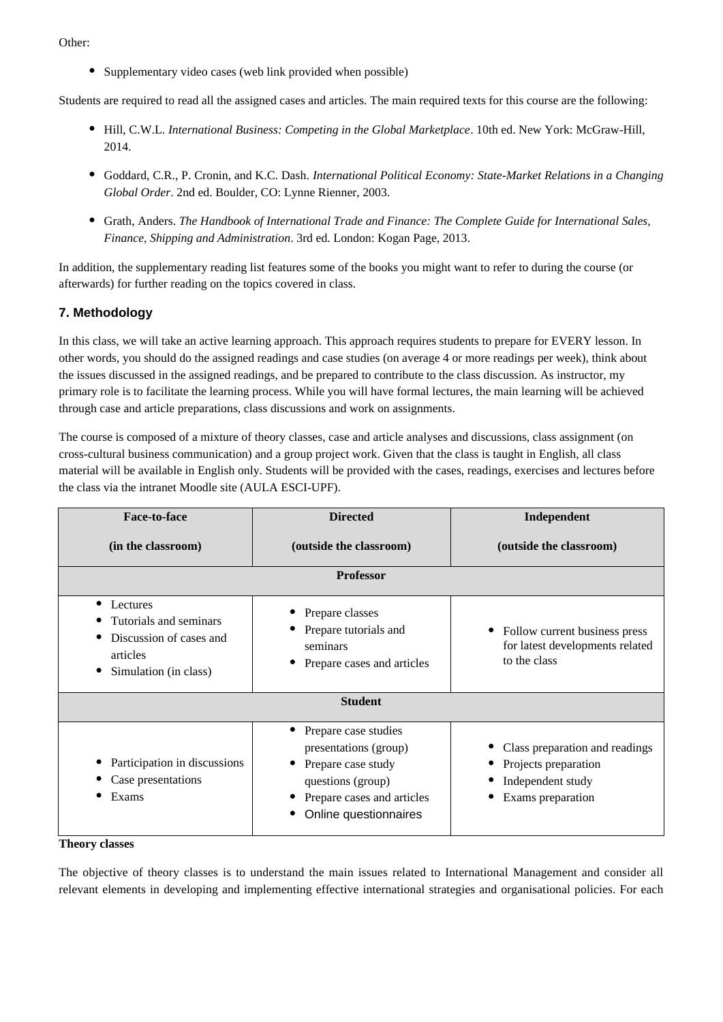Other:

• Supplementary video cases (web link provided when possible)

Students are required to read all the assigned cases and articles. The main required texts for this course are the following:

- Hill, C.W.L. *International Business: Competing in the Global Marketplace*. 10th ed. New York: McGraw-Hill, 2014.
- Goddard, C.R., P. Cronin, and K.C. Dash. *International Political Economy: State-Market Relations in a Changing Global Order*. 2nd ed. Boulder, CO: Lynne Rienner, 2003.
- Grath, Anders. *The Handbook of International Trade and Finance: The Complete Guide for International Sales, Finance, Shipping and Administration*. 3rd ed. London: Kogan Page, 2013.

In addition, the supplementary reading list features some of the books you might want to refer to during the course (or afterwards) for further reading on the topics covered in class.

# **7. Methodology**

In this class, we will take an active learning approach. This approach requires students to prepare for EVERY lesson. In other words, you should do the assigned readings and case studies (on average 4 or more readings per week), think about the issues discussed in the assigned readings, and be prepared to contribute to the class discussion. As instructor, my primary role is to facilitate the learning process. While you will have formal lectures, the main learning will be achieved through case and article preparations, class discussions and work on assignments.

The course is composed of a mixture of theory classes, case and article analyses and discussions, class assignment (on cross-cultural business communication) and a group project work. Given that the class is taught in English, all class material will be available in English only. Students will be provided with the cases, readings, exercises and lectures before the class via the intranet Moodle site (AULA ESCI-UPF).

| Face-to-face                                                                                                    | <b>Directed</b>                                                                                                                                 | Independent                                                                                      |
|-----------------------------------------------------------------------------------------------------------------|-------------------------------------------------------------------------------------------------------------------------------------------------|--------------------------------------------------------------------------------------------------|
| (in the classroom)                                                                                              | (outside the classroom)                                                                                                                         | (outside the classroom)                                                                          |
|                                                                                                                 | <b>Professor</b>                                                                                                                                |                                                                                                  |
| $\bullet$<br>Lectures<br>Tutorials and seminars<br>Discussion of cases and<br>articles<br>Simulation (in class) | Prepare classes<br>Prepare tutorials and<br>seminars<br>Prepare cases and articles                                                              | Follow current business press<br>for latest developments related<br>to the class                 |
|                                                                                                                 | <b>Student</b>                                                                                                                                  |                                                                                                  |
| Participation in discussions<br>Case presentations<br>Exams                                                     | Prepare case studies<br>presentations (group)<br>Prepare case study<br>questions (group)<br>Prepare cases and articles<br>Online questionnaires | Class preparation and readings<br>Projects preparation<br>Independent study<br>Exams preparation |

#### **Theory classes**

The objective of theory classes is to understand the main issues related to International Management and consider all relevant elements in developing and implementing effective international strategies and organisational policies. For each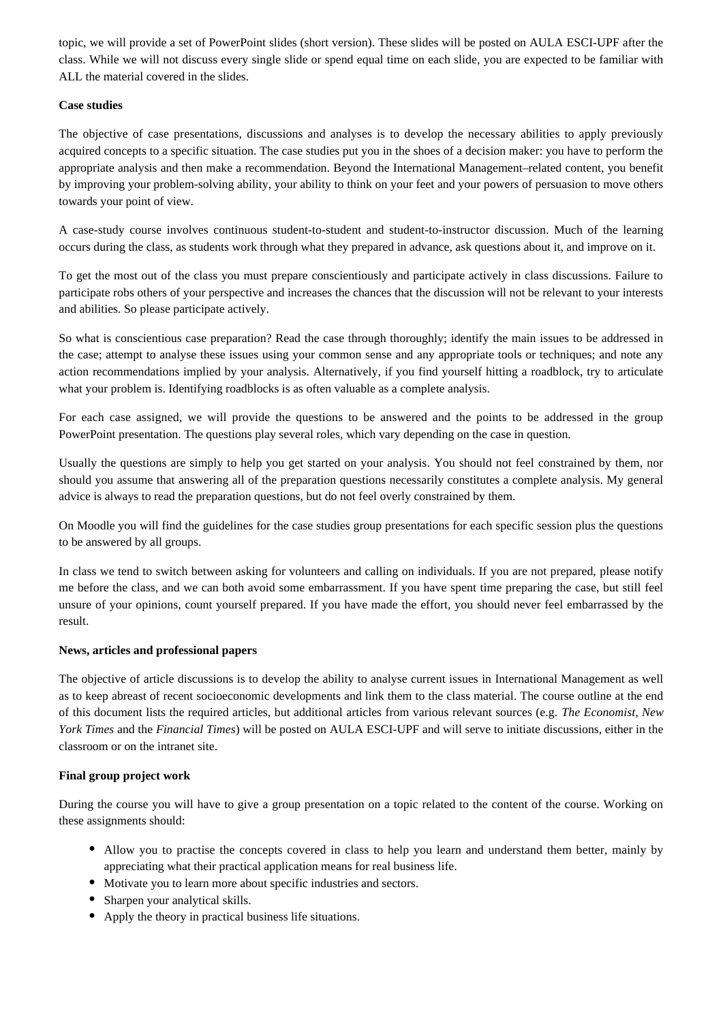topic, we will provide a set of PowerPoint slides (short version). These slides will be posted on AULA ESCI-UPF after the class. While we will not discuss every single slide or spend equal time on each slide, you are expected to be familiar with ALL the material covered in the slides.

#### **Case studies**

The objective of case presentations, discussions and analyses is to develop the necessary abilities to apply previously acquired concepts to a specific situation. The case studies put you in the shoes of a decision maker: you have to perform the appropriate analysis and then make a recommendation. Beyond the International Management–related content, you benefit by improving your problem-solving ability, your ability to think on your feet and your powers of persuasion to move others towards your point of view.

A case-study course involves continuous student-to-student and student-to-instructor discussion. Much of the learning occurs during the class, as students work through what they prepared in advance, ask questions about it, and improve on it.

To get the most out of the class you must prepare conscientiously and participate actively in class discussions. Failure to participate robs others of your perspective and increases the chances that the discussion will not be relevant to your interests and abilities. So please participate actively.

So what is conscientious case preparation? Read the case through thoroughly; identify the main issues to be addressed in the case; attempt to analyse these issues using your common sense and any appropriate tools or techniques; and note any action recommendations implied by your analysis. Alternatively, if you find yourself hitting a roadblock, try to articulate what your problem is. Identifying roadblocks is as often valuable as a complete analysis.

For each case assigned, we will provide the questions to be answered and the points to be addressed in the group PowerPoint presentation. The questions play several roles, which vary depending on the case in question.

Usually the questions are simply to help you get started on your analysis. You should not feel constrained by them, nor should you assume that answering all of the preparation questions necessarily constitutes a complete analysis. My general advice is always to read the preparation questions, but do not feel overly constrained by them.

On Moodle you will find the guidelines for the case studies group presentations for each specific session plus the questions to be answered by all groups.

In class we tend to switch between asking for volunteers and calling on individuals. If you are not prepared, please notify me before the class, and we can both avoid some embarrassment. If you have spent time preparing the case, but still feel unsure of your opinions, count yourself prepared. If you have made the effort, you should never feel embarrassed by the result.

#### **News, articles and professional papers**

The objective of article discussions is to develop the ability to analyse current issues in International Management as well as to keep abreast of recent socioeconomic developments and link them to the class material. The course outline at the end of this document lists the required articles, but additional articles from various relevant sources (e.g. *The Economist, New York Times* and the *Financial Times*) will be posted on AULA ESCI-UPF and will serve to initiate discussions, either in the classroom or on the intranet site.

#### **Final group project work**

During the course you will have to give a group presentation on a topic related to the content of the course. Working on these assignments should:

- Allow you to practise the concepts covered in class to help you learn and understand them better, mainly by appreciating what their practical application means for real business life.
- Motivate you to learn more about specific industries and sectors.
- Sharpen your analytical skills.
- Apply the theory in practical business life situations.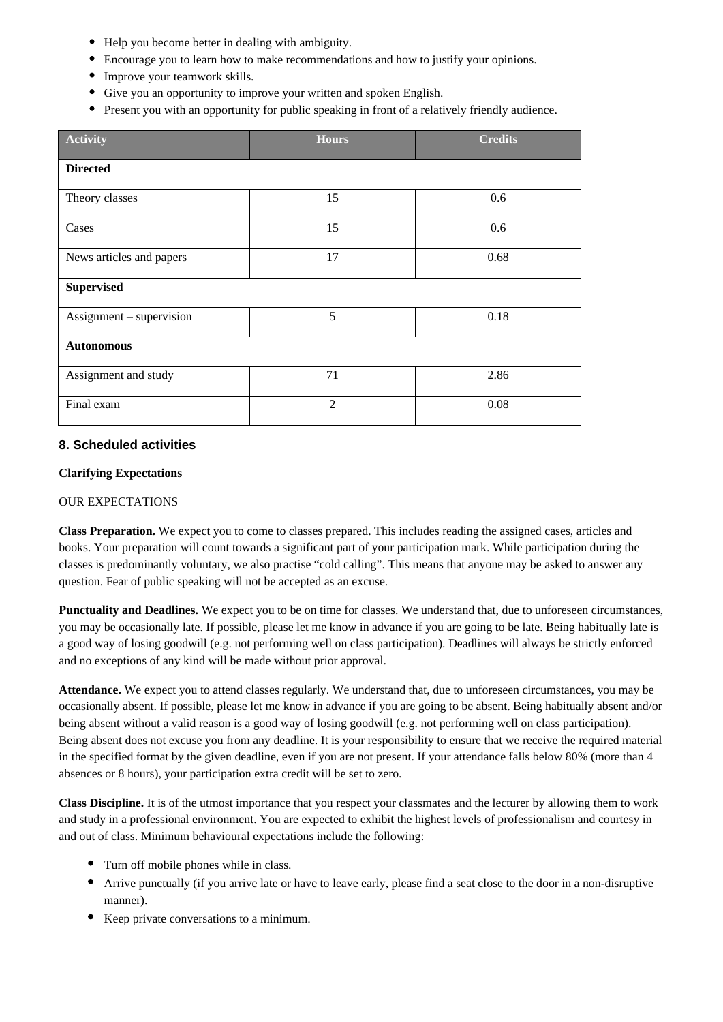- Help you become better in dealing with ambiguity.
- Encourage you to learn how to make recommendations and how to justify your opinions.
- Improve your teamwork skills.
- Give you an opportunity to improve your written and spoken English.
- Present you with an opportunity for public speaking in front of a relatively friendly audience.

| <b>Activity</b>          | <b>Hours</b>   | <b>Credits</b> |
|--------------------------|----------------|----------------|
| <b>Directed</b>          |                |                |
| Theory classes           | 15             | 0.6            |
| Cases                    | 15             | 0.6            |
| News articles and papers | 17             | 0.68           |
| <b>Supervised</b>        |                |                |
| Assignment - supervision | 5              | 0.18           |
| <b>Autonomous</b>        |                |                |
| Assignment and study     | 71             | 2.86           |
| Final exam               | $\overline{2}$ | 0.08           |

# **8. Scheduled activities**

## **Clarifying Expectations**

#### OUR EXPECTATIONS

**Class Preparation.** We expect you to come to classes prepared. This includes reading the assigned cases, articles and books. Your preparation will count towards a significant part of your participation mark. While participation during the classes is predominantly voluntary, we also practise "cold calling". This means that anyone may be asked to answer any question. Fear of public speaking will not be accepted as an excuse.

Punctuality and Deadlines. We expect you to be on time for classes. We understand that, due to unforeseen circumstances, you may be occasionally late. If possible, please let me know in advance if you are going to be late. Being habitually late is a good way of losing goodwill (e.g. not performing well on class participation). Deadlines will always be strictly enforced and no exceptions of any kind will be made without prior approval.

**Attendance.** We expect you to attend classes regularly. We understand that, due to unforeseen circumstances, you may be occasionally absent. If possible, please let me know in advance if you are going to be absent. Being habitually absent and/or being absent without a valid reason is a good way of losing goodwill (e.g. not performing well on class participation). Being absent does not excuse you from any deadline. It is your responsibility to ensure that we receive the required material in the specified format by the given deadline, even if you are not present. If your attendance falls below 80% (more than 4 absences or 8 hours), your participation extra credit will be set to zero.

**Class Discipline.** It is of the utmost importance that you respect your classmates and the lecturer by allowing them to work and study in a professional environment. You are expected to exhibit the highest levels of professionalism and courtesy in and out of class. Minimum behavioural expectations include the following:

- Turn off mobile phones while in class.
- Arrive punctually (if you arrive late or have to leave early, please find a seat close to the door in a non-disruptive manner).
- Keep private conversations to a minimum.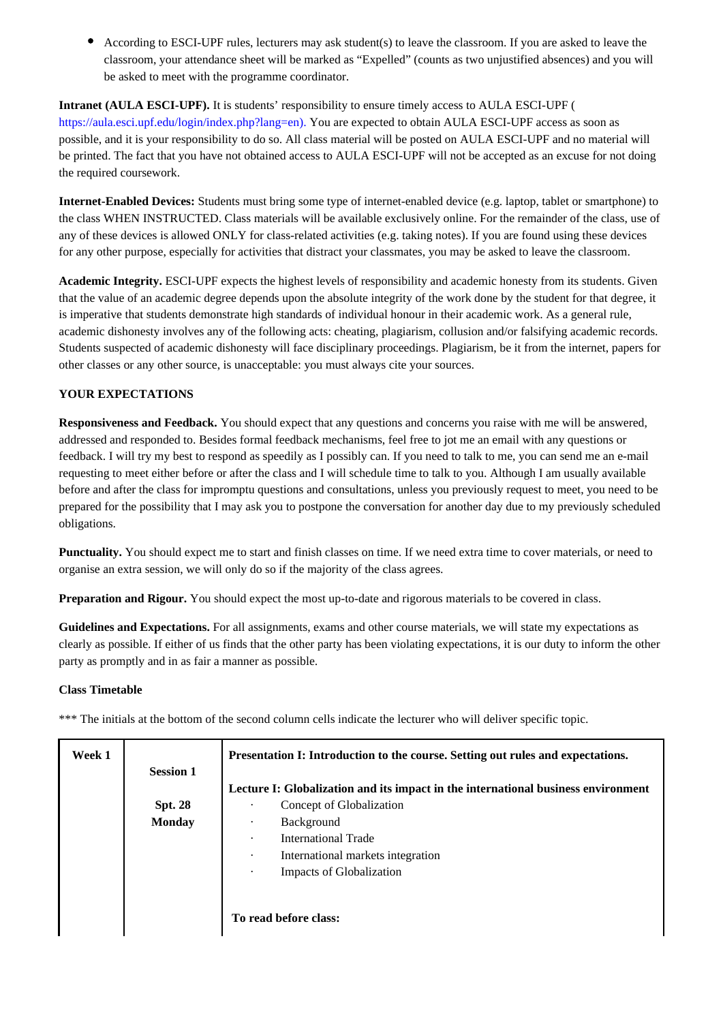According to ESCI-UPF rules, lecturers may ask student(s) to leave the classroom. If you are asked to leave the classroom, your attendance sheet will be marked as "Expelled" (counts as two unjustified absences) and you will be asked to meet with the programme coordinator.

**Intranet (AULA ESCI-UPF).** It is students' responsibility to ensure timely access to AULA ESCI-UPF ( https://aula.esci.upf.edu/login/index.php?lang=en). You are expected to obtain AULA ESCI-UPF access as soon as possible, and it is your responsibility to do so. All class material will be posted on AULA ESCI-UPF and no material will be printed. The fact that you have not obtained access to AULA ESCI-UPF will not be accepted as an excuse for not doing the required coursework.

**Internet-Enabled Devices:** Students must bring some type of internet-enabled device (e.g. laptop, tablet or smartphone) to the class WHEN INSTRUCTED. Class materials will be available exclusively online. For the remainder of the class, use of any of these devices is allowed ONLY for class-related activities (e.g. taking notes). If you are found using these devices for any other purpose, especially for activities that distract your classmates, you may be asked to leave the classroom.

**Academic Integrity.** ESCI-UPF expects the highest levels of responsibility and academic honesty from its students. Given that the value of an academic degree depends upon the absolute integrity of the work done by the student for that degree, it is imperative that students demonstrate high standards of individual honour in their academic work. As a general rule, academic dishonesty involves any of the following acts: cheating, plagiarism, collusion and/or falsifying academic records. Students suspected of academic dishonesty will face disciplinary proceedings. Plagiarism, be it from the internet, papers for other classes or any other source, is unacceptable: you must always cite your sources.

## **YOUR EXPECTATIONS**

**Responsiveness and Feedback.** You should expect that any questions and concerns you raise with me will be answered, addressed and responded to. Besides formal feedback mechanisms, feel free to jot me an email with any questions or feedback. I will try my best to respond as speedily as I possibly can. If you need to talk to me, you can send me an e-mail requesting to meet either before or after the class and I will schedule time to talk to you. Although I am usually available before and after the class for impromptu questions and consultations, unless you previously request to meet, you need to be prepared for the possibility that I may ask you to postpone the conversation for another day due to my previously scheduled obligations.

**Punctuality.** You should expect me to start and finish classes on time. If we need extra time to cover materials, or need to organise an extra session, we will only do so if the majority of the class agrees.

**Preparation and Rigour.** You should expect the most up-to-date and rigorous materials to be covered in class.

**Guidelines and Expectations.** For all assignments, exams and other course materials, we will state my expectations as clearly as possible. If either of us finds that the other party has been violating expectations, it is our duty to inform the other party as promptly and in as fair a manner as possible.

## **Class Timetable**

\*\*\* The initials at the bottom of the second column cells indicate the lecturer who will deliver specific topic.

| Week 1 | <b>Session 1</b> | Presentation I: Introduction to the course. Setting out rules and expectations.   |
|--------|------------------|-----------------------------------------------------------------------------------|
|        |                  |                                                                                   |
|        |                  | Lecture I: Globalization and its impact in the international business environment |
|        | <b>Spt. 28</b>   | Concept of Globalization                                                          |
|        | <b>Monday</b>    | Background                                                                        |
|        |                  | International Trade<br>٠                                                          |
|        |                  | International markets integration<br>$\bullet$                                    |
|        |                  | Impacts of Globalization<br>٠                                                     |
|        |                  |                                                                                   |
|        |                  | To read before class:                                                             |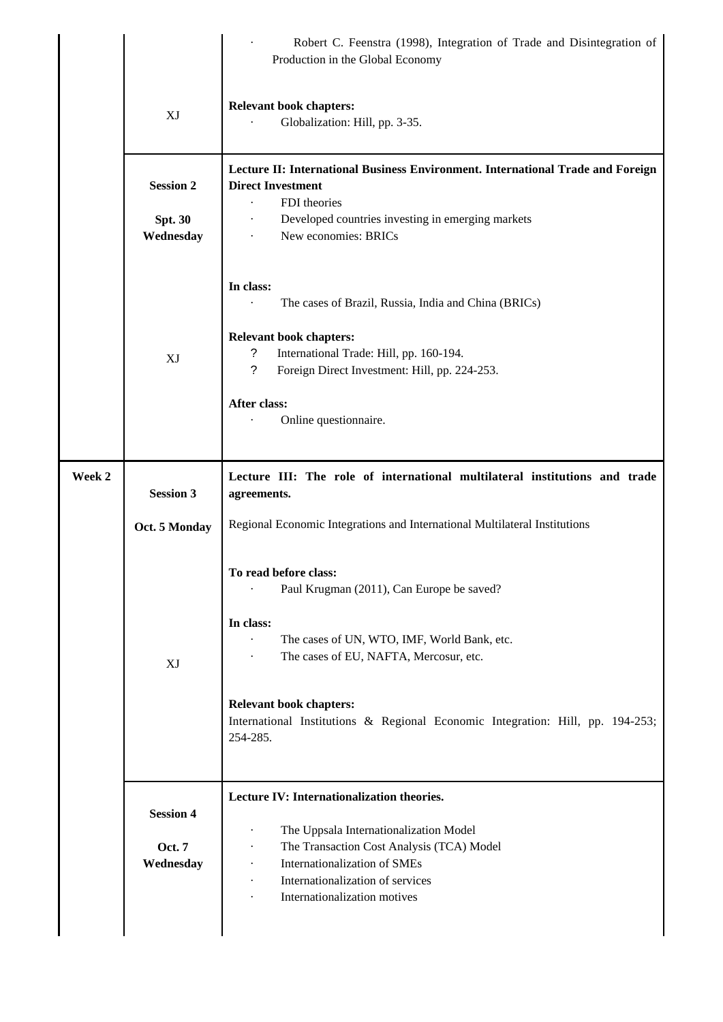|        |                                                | Robert C. Feenstra (1998), Integration of Trade and Disintegration of<br>Production in the Global Economy                                                                                              |
|--------|------------------------------------------------|--------------------------------------------------------------------------------------------------------------------------------------------------------------------------------------------------------|
|        | XJ                                             | <b>Relevant book chapters:</b><br>Globalization: Hill, pp. 3-35.                                                                                                                                       |
|        | <b>Session 2</b>                               | Lecture II: International Business Environment. International Trade and Foreign<br><b>Direct Investment</b><br>FDI theories                                                                            |
|        | <b>Spt. 30</b><br>Wednesday                    | Developed countries investing in emerging markets<br>New economies: BRICs                                                                                                                              |
|        |                                                | In class:<br>The cases of Brazil, Russia, India and China (BRICs)<br><b>Relevant book chapters:</b>                                                                                                    |
|        | XJ                                             | ?<br>International Trade: Hill, pp. 160-194.<br>$\tilde{?}$<br>Foreign Direct Investment: Hill, pp. 224-253.<br>After class:                                                                           |
|        |                                                | Online questionnaire.                                                                                                                                                                                  |
| Week 2 | <b>Session 3</b>                               | Lecture III: The role of international multilateral institutions and trade<br>agreements.                                                                                                              |
|        | Oct. 5 Monday                                  | Regional Economic Integrations and International Multilateral Institutions                                                                                                                             |
|        |                                                | To read before class:<br>Paul Krugman (2011), Can Europe be saved?<br>$\ddot{\phantom{0}}$                                                                                                             |
|        | XJ                                             | In class:<br>The cases of UN, WTO, IMF, World Bank, etc.<br>The cases of EU, NAFTA, Mercosur, etc.<br>$\ddot{\phantom{0}}$                                                                             |
|        |                                                | <b>Relevant book chapters:</b><br>International Institutions & Regional Economic Integration: Hill, pp. 194-253;<br>254-285.                                                                           |
|        | <b>Session 4</b><br><b>Oct. 7</b><br>Wednesday | Lecture IV: Internationalization theories.<br>The Uppsala Internationalization Model<br>$\cdot$<br>The Transaction Cost Analysis (TCA) Model<br>$\bullet$<br>Internationalization of SMEs<br>$\bullet$ |
|        |                                                | Internationalization of services<br>Internationalization motives                                                                                                                                       |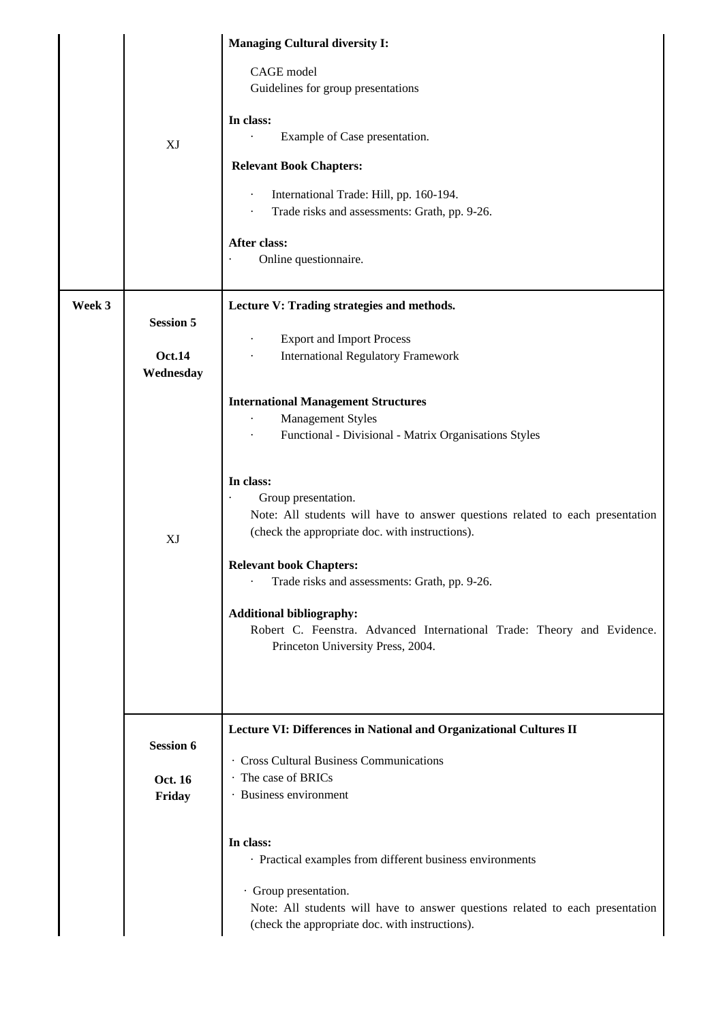|        |                   | <b>Managing Cultural diversity I:</b>                                                                                                                                                                                                                                                                                                                                                                     |
|--------|-------------------|-----------------------------------------------------------------------------------------------------------------------------------------------------------------------------------------------------------------------------------------------------------------------------------------------------------------------------------------------------------------------------------------------------------|
|        | XJ                | CAGE model<br>Guidelines for group presentations<br>In class:<br>Example of Case presentation.<br><b>Relevant Book Chapters:</b><br>International Trade: Hill, pp. 160-194.<br>$\cdot$<br>Trade risks and assessments: Grath, pp. 9-26.<br>After class:<br>Online questionnaire.                                                                                                                          |
| Week 3 |                   | Lecture V: Trading strategies and methods.                                                                                                                                                                                                                                                                                                                                                                |
|        | <b>Session 5</b>  |                                                                                                                                                                                                                                                                                                                                                                                                           |
|        | <b>Oct.14</b>     | <b>Export and Import Process</b><br><b>International Regulatory Framework</b>                                                                                                                                                                                                                                                                                                                             |
|        | Wednesday         |                                                                                                                                                                                                                                                                                                                                                                                                           |
|        |                   | <b>International Management Structures</b>                                                                                                                                                                                                                                                                                                                                                                |
|        |                   | <b>Management Styles</b>                                                                                                                                                                                                                                                                                                                                                                                  |
|        |                   | Functional - Divisional - Matrix Organisations Styles                                                                                                                                                                                                                                                                                                                                                     |
|        | XJ                | In class:<br>Group presentation.<br>Note: All students will have to answer questions related to each presentation<br>(check the appropriate doc. with instructions).<br><b>Relevant book Chapters:</b><br>Trade risks and assessments: Grath, pp. 9-26.<br><b>Additional bibliography:</b><br>Robert C. Feenstra. Advanced International Trade: Theory and Evidence.<br>Princeton University Press, 2004. |
|        | <b>Session 6</b>  | Lecture VI: Differences in National and Organizational Cultures II                                                                                                                                                                                                                                                                                                                                        |
|        |                   | · Cross Cultural Business Communications                                                                                                                                                                                                                                                                                                                                                                  |
|        | Oct. 16<br>Friday | · The case of BRICs<br>· Business environment                                                                                                                                                                                                                                                                                                                                                             |
|        |                   |                                                                                                                                                                                                                                                                                                                                                                                                           |
|        |                   | In class:                                                                                                                                                                                                                                                                                                                                                                                                 |
|        |                   | · Practical examples from different business environments                                                                                                                                                                                                                                                                                                                                                 |
|        |                   | · Group presentation.<br>Note: All students will have to answer questions related to each presentation<br>(check the appropriate doc. with instructions).                                                                                                                                                                                                                                                 |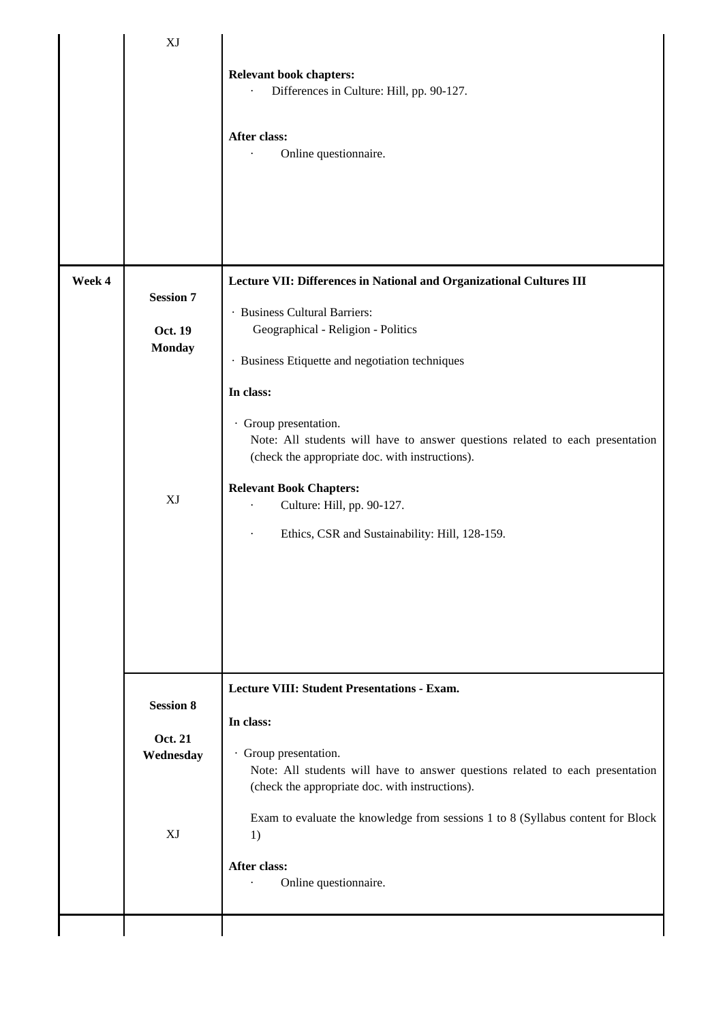|        | XJ                                                 |                                                                                                                                                                                                                                                                                                                                                                                                                                                                                            |
|--------|----------------------------------------------------|--------------------------------------------------------------------------------------------------------------------------------------------------------------------------------------------------------------------------------------------------------------------------------------------------------------------------------------------------------------------------------------------------------------------------------------------------------------------------------------------|
|        |                                                    | <b>Relevant book chapters:</b><br>Differences in Culture: Hill, pp. 90-127.<br>After class:<br>Online questionnaire.                                                                                                                                                                                                                                                                                                                                                                       |
| Week 4 | <b>Session 7</b><br>Oct. 19<br><b>Monday</b><br>XJ | Lecture VII: Differences in National and Organizational Cultures III<br>· Business Cultural Barriers:<br>Geographical - Religion - Politics<br>· Business Etiquette and negotiation techniques<br>In class:<br>· Group presentation.<br>Note: All students will have to answer questions related to each presentation<br>(check the appropriate doc. with instructions).<br><b>Relevant Book Chapters:</b><br>Culture: Hill, pp. 90-127.<br>Ethics, CSR and Sustainability: Hill, 128-159. |
|        | <b>Session 8</b><br>Oct. 21<br>Wednesday<br>XJ     | <b>Lecture VIII: Student Presentations - Exam.</b><br>In class:<br>· Group presentation.<br>Note: All students will have to answer questions related to each presentation<br>(check the appropriate doc. with instructions).<br>Exam to evaluate the knowledge from sessions 1 to 8 (Syllabus content for Block<br>1)<br>After class:<br>Online questionnaire.                                                                                                                             |
|        |                                                    |                                                                                                                                                                                                                                                                                                                                                                                                                                                                                            |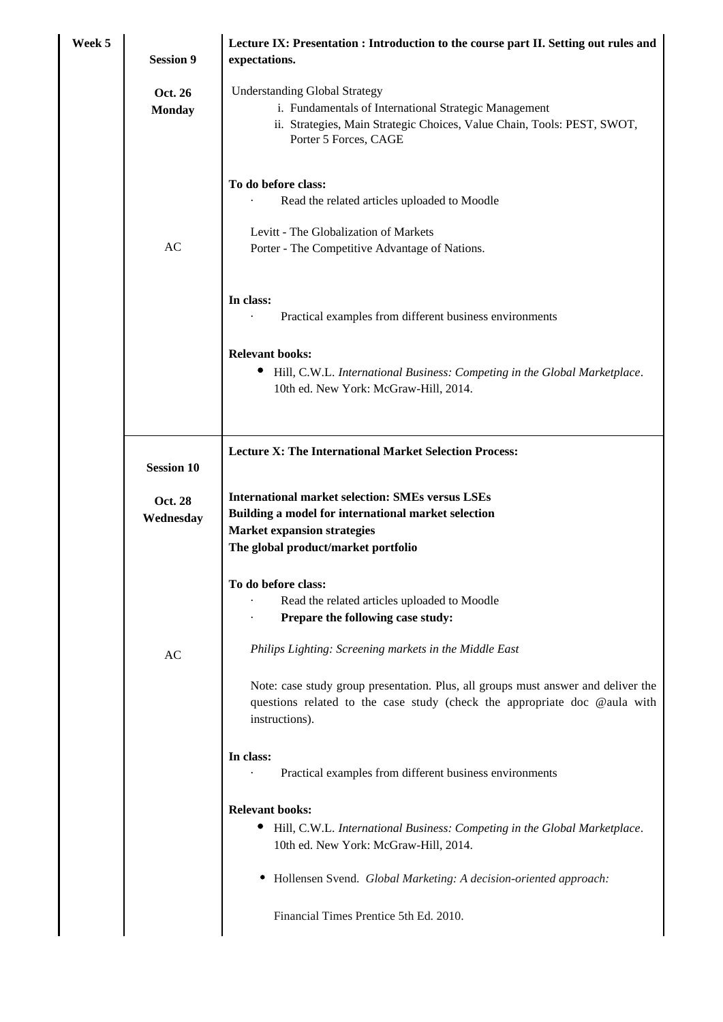| Week 5 | <b>Session 9</b>            | Lecture IX: Presentation : Introduction to the course part II. Setting out rules and<br>expectations.                                                                                                                                      |
|--------|-----------------------------|--------------------------------------------------------------------------------------------------------------------------------------------------------------------------------------------------------------------------------------------|
|        | Oct. 26<br><b>Monday</b>    | <b>Understanding Global Strategy</b><br>i. Fundamentals of International Strategic Management<br>ii. Strategies, Main Strategic Choices, Value Chain, Tools: PEST, SWOT,<br>Porter 5 Forces, CAGE                                          |
|        | AC                          | To do before class:<br>Read the related articles uploaded to Moodle<br>Levitt - The Globalization of Markets<br>Porter - The Competitive Advantage of Nations.                                                                             |
|        |                             | In class:<br>Practical examples from different business environments                                                                                                                                                                       |
|        |                             | <b>Relevant books:</b><br>Hill, C.W.L. International Business: Competing in the Global Marketplace.<br>10th ed. New York: McGraw-Hill, 2014.                                                                                               |
|        | <b>Session 10</b>           | <b>Lecture X: The International Market Selection Process:</b>                                                                                                                                                                              |
|        | <b>Oct. 28</b><br>Wednesday | <b>International market selection: SMEs versus LSEs</b><br>Building a model for international market selection<br><b>Market expansion strategies</b><br>The global product/market portfolio                                                |
|        |                             | To do before class:<br>Read the related articles uploaded to Moodle<br>Prepare the following case study:                                                                                                                                   |
|        | AC                          | Philips Lighting: Screening markets in the Middle East<br>Note: case study group presentation. Plus, all groups must answer and deliver the<br>questions related to the case study (check the appropriate doc @aula with<br>instructions). |
|        |                             | In class:<br>Practical examples from different business environments                                                                                                                                                                       |
|        |                             | <b>Relevant books:</b><br>$\bullet$<br>Hill, C.W.L. International Business: Competing in the Global Marketplace.<br>10th ed. New York: McGraw-Hill, 2014.                                                                                  |
|        |                             | Hollensen Svend. Global Marketing: A decision-oriented approach:<br>٠                                                                                                                                                                      |
|        |                             | Financial Times Prentice 5th Ed. 2010.                                                                                                                                                                                                     |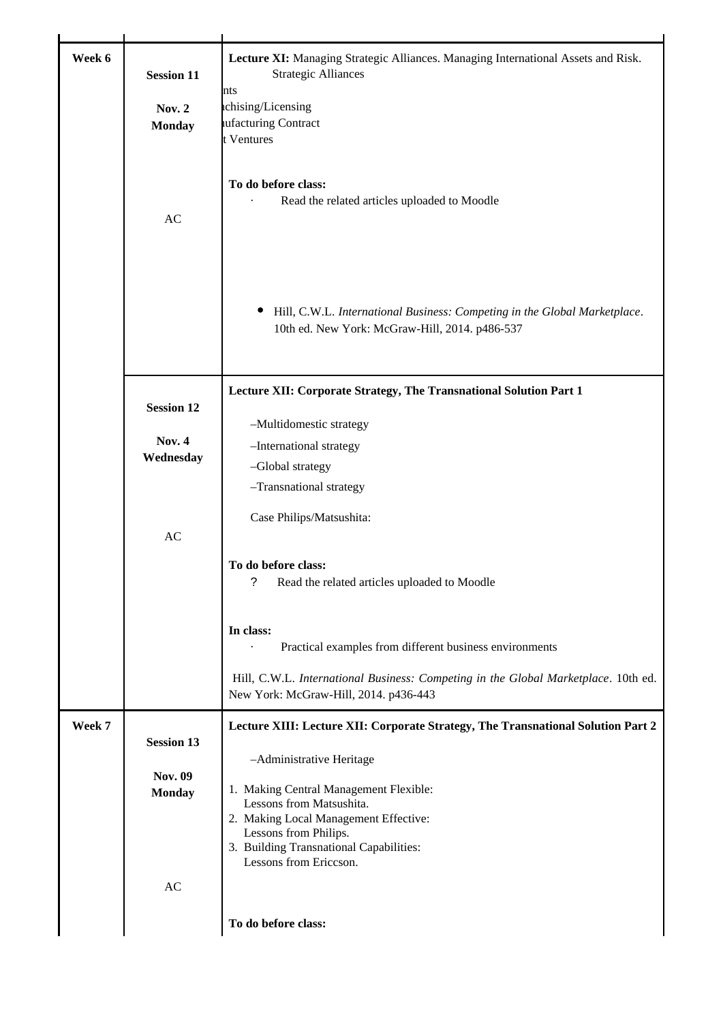| Week 6 | <b>Session 11</b><br><b>Nov. 2</b><br><b>Monday</b> | Lecture XI: Managing Strategic Alliances. Managing International Assets and Risk.<br><b>Strategic Alliances</b><br>nts<br>ichising/Licensing<br>ufacturing Contract<br>t Ventures |
|--------|-----------------------------------------------------|-----------------------------------------------------------------------------------------------------------------------------------------------------------------------------------|
|        | AC                                                  | To do before class:<br>Read the related articles uploaded to Moodle                                                                                                               |
|        |                                                     | Hill, C.W.L. International Business: Competing in the Global Marketplace.<br>10th ed. New York: McGraw-Hill, 2014. p486-537                                                       |
|        |                                                     | Lecture XII: Corporate Strategy, The Transnational Solution Part 1                                                                                                                |
|        | <b>Session 12</b>                                   | -Multidomestic strategy                                                                                                                                                           |
|        | <b>Nov. 4</b>                                       | -International strategy                                                                                                                                                           |
|        | Wednesday                                           | -Global strategy                                                                                                                                                                  |
|        |                                                     | -Transnational strategy                                                                                                                                                           |
|        | AC                                                  | Case Philips/Matsushita:                                                                                                                                                          |
|        |                                                     | To do before class:<br>?<br>Read the related articles uploaded to Moodle                                                                                                          |
|        |                                                     | In class:                                                                                                                                                                         |
|        |                                                     | Practical examples from different business environments                                                                                                                           |
|        |                                                     | Hill, C.W.L. International Business: Competing in the Global Marketplace. 10th ed.<br>New York: McGraw-Hill, 2014. p436-443                                                       |
| Week 7 | <b>Session 13</b>                                   | Lecture XIII: Lecture XII: Corporate Strategy, The Transnational Solution Part 2                                                                                                  |
|        |                                                     | -Administrative Heritage                                                                                                                                                          |
|        | Nov. 09<br><b>Monday</b>                            | 1. Making Central Management Flexible:                                                                                                                                            |
|        |                                                     | Lessons from Matsushita.<br>2. Making Local Management Effective:                                                                                                                 |
|        |                                                     | Lessons from Philips.                                                                                                                                                             |
|        |                                                     | 3. Building Transnational Capabilities:<br>Lessons from Ericcson.                                                                                                                 |
|        | AC                                                  |                                                                                                                                                                                   |
|        |                                                     |                                                                                                                                                                                   |
|        |                                                     | To do before class:                                                                                                                                                               |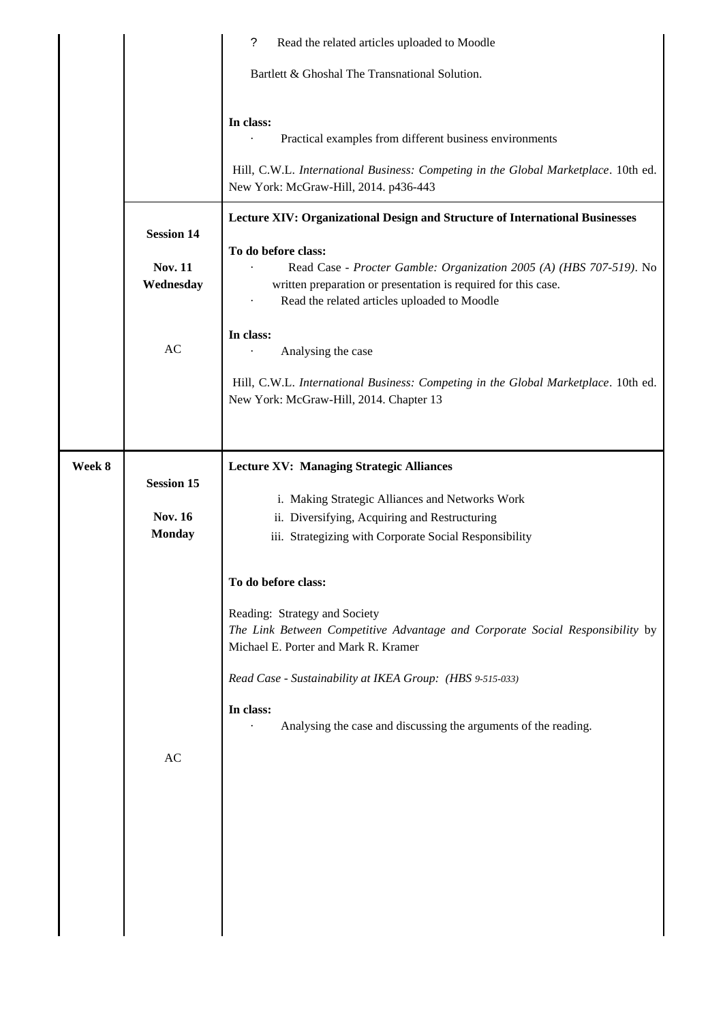|        |                                                        | ?<br>Read the related articles uploaded to Moodle                                                                                                                                                                                                                                                                                                                                                                                                                |
|--------|--------------------------------------------------------|------------------------------------------------------------------------------------------------------------------------------------------------------------------------------------------------------------------------------------------------------------------------------------------------------------------------------------------------------------------------------------------------------------------------------------------------------------------|
|        |                                                        | Bartlett & Ghoshal The Transnational Solution.                                                                                                                                                                                                                                                                                                                                                                                                                   |
|        |                                                        | In class:<br>Practical examples from different business environments<br>Hill, C.W.L. International Business: Competing in the Global Marketplace. 10th ed.<br>New York: McGraw-Hill, 2014. p436-443                                                                                                                                                                                                                                                              |
|        | <b>Session 14</b><br><b>Nov. 11</b><br>Wednesday<br>AC | Lecture XIV: Organizational Design and Structure of International Businesses<br>To do before class:<br>Read Case - Procter Gamble: Organization 2005 (A) (HBS 707-519). No<br>written preparation or presentation is required for this case.<br>Read the related articles uploaded to Moodle<br>In class:<br>Analysing the case<br>Hill, C.W.L. International Business: Competing in the Global Marketplace. 10th ed.<br>New York: McGraw-Hill, 2014. Chapter 13 |
| Week 8 | <b>Session 15</b><br><b>Nov. 16</b><br><b>Monday</b>   | <b>Lecture XV: Managing Strategic Alliances</b><br>i. Making Strategic Alliances and Networks Work<br>ii. Diversifying, Acquiring and Restructuring<br>iii. Strategizing with Corporate Social Responsibility                                                                                                                                                                                                                                                    |
|        | AC                                                     | To do before class:<br>Reading: Strategy and Society<br>The Link Between Competitive Advantage and Corporate Social Responsibility by<br>Michael E. Porter and Mark R. Kramer<br>Read Case - Sustainability at IKEA Group: (HBS 9-515-033)<br>In class:<br>Analysing the case and discussing the arguments of the reading.                                                                                                                                       |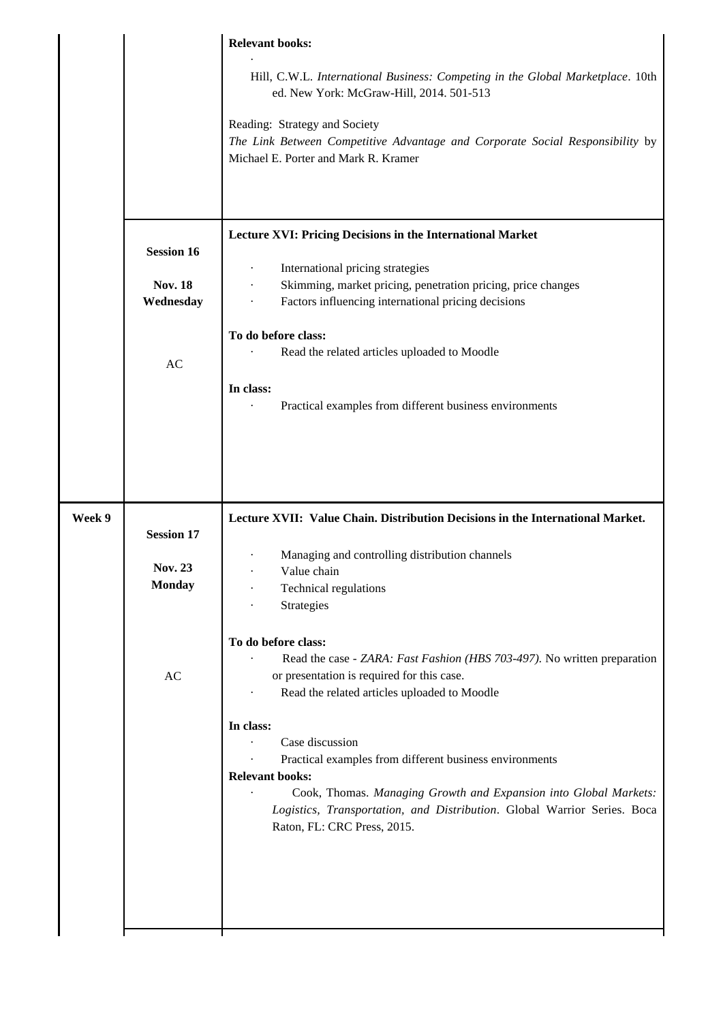|        |                   | <b>Relevant books:</b>                                                                                                                                                      |
|--------|-------------------|-----------------------------------------------------------------------------------------------------------------------------------------------------------------------------|
|        |                   | Hill, C.W.L. International Business: Competing in the Global Marketplace. 10th<br>ed. New York: McGraw-Hill, 2014. 501-513                                                  |
|        |                   | Reading: Strategy and Society                                                                                                                                               |
|        |                   | The Link Between Competitive Advantage and Corporate Social Responsibility by<br>Michael E. Porter and Mark R. Kramer                                                       |
|        |                   |                                                                                                                                                                             |
|        | <b>Session 16</b> | Lecture XVI: Pricing Decisions in the International Market                                                                                                                  |
|        | <b>Nov. 18</b>    | International pricing strategies<br>$\bullet$<br>Skimming, market pricing, penetration pricing, price changes                                                               |
|        | Wednesday         | Factors influencing international pricing decisions<br>$\ddot{\phantom{0}}$                                                                                                 |
|        |                   | To do before class:                                                                                                                                                         |
|        | AC                | Read the related articles uploaded to Moodle                                                                                                                                |
|        |                   | In class:<br>Practical examples from different business environments                                                                                                        |
|        |                   |                                                                                                                                                                             |
|        |                   |                                                                                                                                                                             |
|        |                   |                                                                                                                                                                             |
| Week 9 | <b>Session 17</b> | Lecture XVII: Value Chain. Distribution Decisions in the International Market.                                                                                              |
|        | <b>Nov. 23</b>    | Managing and controlling distribution channels<br>Value chain                                                                                                               |
|        | <b>Monday</b>     | Technical regulations                                                                                                                                                       |
|        |                   | Strategies                                                                                                                                                                  |
|        |                   | To do before class:                                                                                                                                                         |
|        | AC                | Read the case - ZARA: Fast Fashion (HBS 703-497). No written preparation<br>or presentation is required for this case.                                                      |
|        |                   | Read the related articles uploaded to Moodle                                                                                                                                |
|        |                   | In class:                                                                                                                                                                   |
|        |                   | Case discussion<br>Practical examples from different business environments                                                                                                  |
|        |                   | <b>Relevant books:</b>                                                                                                                                                      |
|        |                   | Cook, Thomas. Managing Growth and Expansion into Global Markets:<br>Logistics, Transportation, and Distribution. Global Warrior Series. Boca<br>Raton, FL: CRC Press, 2015. |
|        |                   |                                                                                                                                                                             |
|        |                   |                                                                                                                                                                             |
|        |                   |                                                                                                                                                                             |
|        |                   |                                                                                                                                                                             |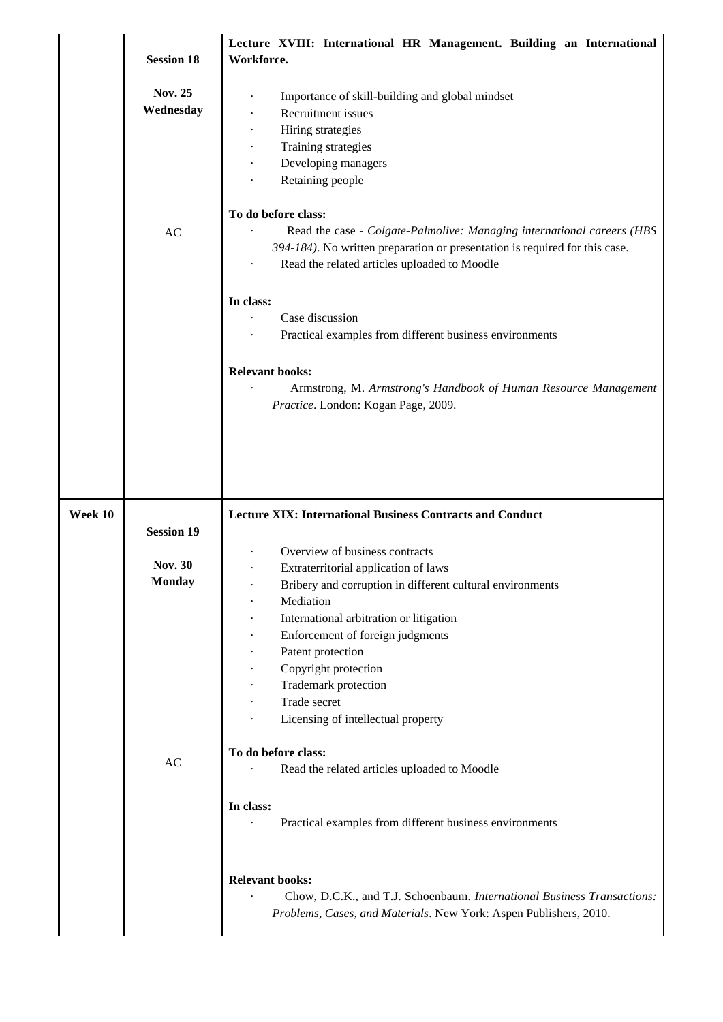|         | <b>Session 18</b>                                    | Lecture XVIII: International HR Management. Building an International<br>Workforce.                                                                                                                                          |
|---------|------------------------------------------------------|------------------------------------------------------------------------------------------------------------------------------------------------------------------------------------------------------------------------------|
|         | <b>Nov. 25</b><br>Wednesday                          | Importance of skill-building and global mindset<br>Recruitment issues<br>Hiring strategies<br>Training strategies<br>Developing managers<br>Retaining people                                                                 |
|         | AC                                                   | To do before class:<br>Read the case - Colgate-Palmolive: Managing international careers (HBS<br>394-184). No written preparation or presentation is required for this case.<br>Read the related articles uploaded to Moodle |
|         |                                                      | In class:<br>Case discussion<br>Practical examples from different business environments                                                                                                                                      |
|         |                                                      | <b>Relevant books:</b><br>Armstrong, M. Armstrong's Handbook of Human Resource Management<br>Practice. London: Kogan Page, 2009.                                                                                             |
| Week 10 |                                                      | <b>Lecture XIX: International Business Contracts and Conduct</b>                                                                                                                                                             |
|         | <b>Session 19</b><br><b>Nov. 30</b><br><b>Monday</b> | Overview of business contracts<br>Extraterritorial application of laws<br>Bribery and corruption in different cultural environments<br>Mediation                                                                             |
|         |                                                      | International arbitration or litigation<br>Enforcement of foreign judgments<br>Patent protection<br>Copyright protection<br>Trademark protection<br>Trade secret<br>Licensing of intellectual property                       |
|         | AC                                                   | To do before class:<br>Read the related articles uploaded to Moodle                                                                                                                                                          |
|         |                                                      | In class:<br>Practical examples from different business environments                                                                                                                                                         |
|         |                                                      | <b>Relevant books:</b><br>Chow, D.C.K., and T.J. Schoenbaum. International Business Transactions:<br>Problems, Cases, and Materials. New York: Aspen Publishers, 2010.                                                       |